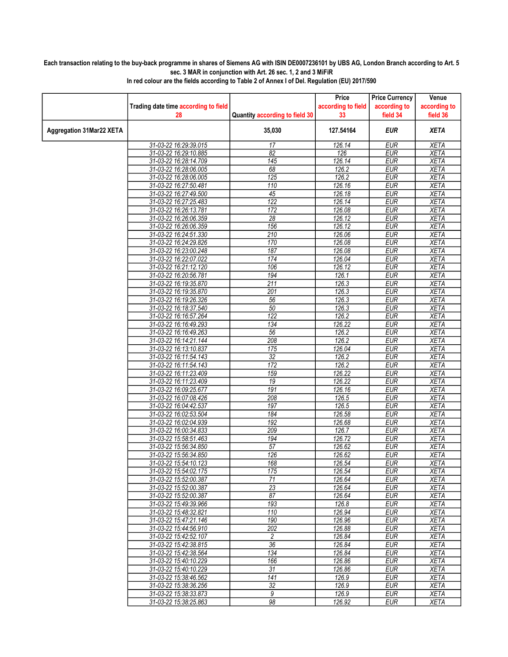## Each transaction relating to the buy-back programme in shares of Siemens AG with ISIN DE0007236101 by UBS AG, London Branch according to Art. 5 sec. 3 MAR in conjunction with Art. 26 sec. 1, 2 and 3 MiFiR

| Trading date time according to field<br>according to field<br>according to<br>according to<br>field 36<br>Quantity according to field 30<br>33<br>field 34<br>28<br>35,030<br><b>EUR</b><br><b>XETA</b><br>127.54164<br>31-03-22 16:29:39.015<br>17<br>126.14<br><b>EUR</b><br><b>XETA</b><br>31-03-22 16:29:10.885<br>$\overline{82}$<br><b>EUR</b><br><b>XETA</b><br>126<br>145<br>31-03-22 16:28:14.709<br>126.14<br><b>EUR</b><br><b>XETA</b><br>68<br>126.2<br><b>EUR</b><br><b>XETA</b><br>31-03-22 16:28:06.005<br>EUR<br><b>XETA</b><br>31-03-22 16:28:06.005<br>125<br>126.2<br>126.16<br><b>XETA</b><br>31-03-22 16:27:50.481<br>110<br><b>EUR</b><br>$\overline{45}$<br>126.18<br><b>EUR</b><br><b>XETA</b><br>31-03-22 16:27:49.500<br>122<br><b>XETA</b><br>126.14<br><b>EUR</b><br>31-03-22 16:27:25.483<br>172<br><b>XETA</b><br>31-03-22 16:26:13.781<br>126.08<br><b>EUR</b><br>31-03-22 16:26:06.359<br>28<br>126.12<br><b>EUR</b><br><b>XETA</b><br>156<br>126.12<br><b>EUR</b><br>31-03-22 16:26:06.359<br><b>XETA</b><br>210<br>126.06<br><b>EUR</b><br><b>XETA</b><br>31-03-22 16:24:51.330<br>126.08<br><b>EUR</b><br><b>XETA</b><br>31-03-22 16:24:29.826<br>170<br>187<br>126.08<br><b>EUR</b><br><b>XETA</b><br>31-03-22 16:23:00.248<br>31-03-22 16:22:07.022<br>174<br>126.04<br><b>EUR</b><br><b>XETA</b><br>106<br>126.12<br><b>EUR</b><br><b>XETA</b><br>31-03-22 16:21:12.120<br>31-03-22 16:20:56.781<br>194<br>126.1<br><b>EUR</b><br><b>XETA</b><br>$\overline{211}$<br>126.3<br>31-03-22 16:19:35.870<br><b>EUR</b><br><b>XETA</b><br>201<br><b>EUR</b><br><b>XETA</b><br>31-03-22 16:19:35.870<br>126.3<br>56<br>31-03-22 16:19:26.326<br>126.3<br><b>EUR</b><br><b>XETA</b><br>50<br>126.3<br><b>EUR</b><br><b>XETA</b><br>31-03-22 16:18:37.540<br>122<br><b>EUR</b><br>31-03-22 16:16:57.264<br>126.2<br><b>XETA</b><br>126.22<br>31-03-22 16:16:49.293<br>134<br><b>EUR</b><br><b>XETA</b><br>56<br><b>XETA</b><br>31-03-22 16:16:49.263<br>126.2<br><b>EUR</b><br>208<br>126.2<br><b>EUR</b><br><b>XETA</b><br>31-03-22 16:14:21.144<br>126.04<br>EUR<br><b>XETA</b><br>31-03-22 16:13:10.837<br>175<br>32<br>126.2<br><b>EUR</b><br><b>XETA</b><br>31-03-22 16:11:54.143<br>$\overline{172}$<br>31-03-22 16:11:54.143<br>126.2<br><b>EUR</b><br><b>XETA</b><br>31-03-22 16:11:23.409<br>159<br>126.22<br><b>EUR</b><br><b>XETA</b><br>126.22<br><b>XETA</b><br>31-03-22 16:11:23.409<br>19<br><b>EUR</b><br>31-03-22 16:09:25.677<br>191<br>126.16<br><b>EUR</b><br><b>XETA</b><br>208<br><b>EUR</b><br><b>XETA</b><br>31-03-22 16:07:08.426<br>126.5<br><b>EUR</b><br><b>XETA</b><br>197<br>126.5<br>31-03-22 16:04:42.537<br>184<br>126.58<br>EUR<br><b>XETA</b><br>31-03-22 16:02:53.504<br>31-03-22 16:02:04.939<br>126.68<br><b>EUR</b><br><b>XETA</b><br>192<br>209<br><b>EUR</b><br>31-03-22 16:00:34.833<br>126.7<br><b>XETA</b><br>31-03-22 15:58:51.463<br>194<br>126.72<br><b>EUR</b><br><b>XETA</b><br>57<br>126.62<br><b>EUR</b><br><b>XETA</b><br>31-03-22 15:56:34.850<br>126<br>31-03-22 15:56:34.850<br>126.62<br><b>EUR</b><br><b>XETA</b><br>168<br>126.54<br><b>EUR</b><br><b>XETA</b><br>31-03-22 15:54:10.123<br>31-03-22 15:54:02.175<br>175<br>126.54<br><b>EUR</b><br><b>XETA</b><br>31-03-22 15:52:00.387<br>71<br>126.64<br><b>EUR</b><br>XETA<br>$\overline{23}$<br>31-03-22 15:52:00.387<br>126.64<br><b>EUR</b><br><b>XETA</b><br>87<br>126.64<br><b>EUR</b><br><b>XETA</b><br>31-03-22 15:52:00.387<br>193<br>31-03-22 15:49:39.966<br>126.8<br><b>EUR</b><br><b>XETA</b><br>126.94<br>31-03-22 15:48:32.821<br>110<br><b>EUR</b><br><b>XETA</b><br>190<br>126.96<br><b>EUR</b><br><b>XETA</b><br>31-03-22 15:47:21.146<br>31-03-22 15:44:56.910<br>202<br>126.88<br><b>EUR</b><br><b>XETA</b><br>31-03-22 15:42:52.107<br>126.84<br><b>EUR</b><br><b>XETA</b><br>2<br>36<br>126.84<br><b>EUR</b><br><b>XETA</b><br>31-03-22 15:42:38.815<br>31-03-22 15:42:38.564<br>134<br>126.84<br><b>EUR</b><br><b>XETA</b><br>31-03-22 15:40:10.229<br>166<br>126.86<br><b>EUR</b><br><b>XETA</b><br>$\overline{31}$<br>31-03-22 15:40:10.229<br>126.86<br><b>EUR</b><br><b>XETA</b><br>141<br>126.9<br>31-03-22 15:38:46.562<br><b>EUR</b><br><b>XETA</b><br>32<br><b>EUR</b><br><b>XETA</b><br>31-03-22 15:38:36.256<br>126.9<br>9<br>126.9<br>31-03-22 15:38:33.873<br><b>EUR</b><br>XETA<br>98<br>126.92<br>31-03-22 15:38:25.863<br><b>EUR</b><br><b>XETA</b> |                                 |  | Price | <b>Price Currency</b> | Venue |
|------------------------------------------------------------------------------------------------------------------------------------------------------------------------------------------------------------------------------------------------------------------------------------------------------------------------------------------------------------------------------------------------------------------------------------------------------------------------------------------------------------------------------------------------------------------------------------------------------------------------------------------------------------------------------------------------------------------------------------------------------------------------------------------------------------------------------------------------------------------------------------------------------------------------------------------------------------------------------------------------------------------------------------------------------------------------------------------------------------------------------------------------------------------------------------------------------------------------------------------------------------------------------------------------------------------------------------------------------------------------------------------------------------------------------------------------------------------------------------------------------------------------------------------------------------------------------------------------------------------------------------------------------------------------------------------------------------------------------------------------------------------------------------------------------------------------------------------------------------------------------------------------------------------------------------------------------------------------------------------------------------------------------------------------------------------------------------------------------------------------------------------------------------------------------------------------------------------------------------------------------------------------------------------------------------------------------------------------------------------------------------------------------------------------------------------------------------------------------------------------------------------------------------------------------------------------------------------------------------------------------------------------------------------------------------------------------------------------------------------------------------------------------------------------------------------------------------------------------------------------------------------------------------------------------------------------------------------------------------------------------------------------------------------------------------------------------------------------------------------------------------------------------------------------------------------------------------------------------------------------------------------------------------------------------------------------------------------------------------------------------------------------------------------------------------------------------------------------------------------------------------------------------------------------------------------------------------------------------------------------------------------------------------------------------------------------------------------------------------------------------------------------------------------------------------------------------------------------------------------------------------------------------------------------------------------------------------------------------------------------------------------------------------------------------------------------------------------------------------------------------------------------------------------------------------------------------------------------------------------------------------------------------------------------------------------------------------------------------------------------------------------------------------------------------------|---------------------------------|--|-------|-----------------------|-------|
|                                                                                                                                                                                                                                                                                                                                                                                                                                                                                                                                                                                                                                                                                                                                                                                                                                                                                                                                                                                                                                                                                                                                                                                                                                                                                                                                                                                                                                                                                                                                                                                                                                                                                                                                                                                                                                                                                                                                                                                                                                                                                                                                                                                                                                                                                                                                                                                                                                                                                                                                                                                                                                                                                                                                                                                                                                                                                                                                                                                                                                                                                                                                                                                                                                                                                                                                                                                                                                                                                                                                                                                                                                                                                                                                                                                                                                                                                                                                                                                                                                                                                                                                                                                                                                                                                                                                                                                                                                    |                                 |  |       |                       |       |
|                                                                                                                                                                                                                                                                                                                                                                                                                                                                                                                                                                                                                                                                                                                                                                                                                                                                                                                                                                                                                                                                                                                                                                                                                                                                                                                                                                                                                                                                                                                                                                                                                                                                                                                                                                                                                                                                                                                                                                                                                                                                                                                                                                                                                                                                                                                                                                                                                                                                                                                                                                                                                                                                                                                                                                                                                                                                                                                                                                                                                                                                                                                                                                                                                                                                                                                                                                                                                                                                                                                                                                                                                                                                                                                                                                                                                                                                                                                                                                                                                                                                                                                                                                                                                                                                                                                                                                                                                                    |                                 |  |       |                       |       |
|                                                                                                                                                                                                                                                                                                                                                                                                                                                                                                                                                                                                                                                                                                                                                                                                                                                                                                                                                                                                                                                                                                                                                                                                                                                                                                                                                                                                                                                                                                                                                                                                                                                                                                                                                                                                                                                                                                                                                                                                                                                                                                                                                                                                                                                                                                                                                                                                                                                                                                                                                                                                                                                                                                                                                                                                                                                                                                                                                                                                                                                                                                                                                                                                                                                                                                                                                                                                                                                                                                                                                                                                                                                                                                                                                                                                                                                                                                                                                                                                                                                                                                                                                                                                                                                                                                                                                                                                                                    | <b>Aggregation 31Mar22 XETA</b> |  |       |                       |       |
|                                                                                                                                                                                                                                                                                                                                                                                                                                                                                                                                                                                                                                                                                                                                                                                                                                                                                                                                                                                                                                                                                                                                                                                                                                                                                                                                                                                                                                                                                                                                                                                                                                                                                                                                                                                                                                                                                                                                                                                                                                                                                                                                                                                                                                                                                                                                                                                                                                                                                                                                                                                                                                                                                                                                                                                                                                                                                                                                                                                                                                                                                                                                                                                                                                                                                                                                                                                                                                                                                                                                                                                                                                                                                                                                                                                                                                                                                                                                                                                                                                                                                                                                                                                                                                                                                                                                                                                                                                    |                                 |  |       |                       |       |
|                                                                                                                                                                                                                                                                                                                                                                                                                                                                                                                                                                                                                                                                                                                                                                                                                                                                                                                                                                                                                                                                                                                                                                                                                                                                                                                                                                                                                                                                                                                                                                                                                                                                                                                                                                                                                                                                                                                                                                                                                                                                                                                                                                                                                                                                                                                                                                                                                                                                                                                                                                                                                                                                                                                                                                                                                                                                                                                                                                                                                                                                                                                                                                                                                                                                                                                                                                                                                                                                                                                                                                                                                                                                                                                                                                                                                                                                                                                                                                                                                                                                                                                                                                                                                                                                                                                                                                                                                                    |                                 |  |       |                       |       |
|                                                                                                                                                                                                                                                                                                                                                                                                                                                                                                                                                                                                                                                                                                                                                                                                                                                                                                                                                                                                                                                                                                                                                                                                                                                                                                                                                                                                                                                                                                                                                                                                                                                                                                                                                                                                                                                                                                                                                                                                                                                                                                                                                                                                                                                                                                                                                                                                                                                                                                                                                                                                                                                                                                                                                                                                                                                                                                                                                                                                                                                                                                                                                                                                                                                                                                                                                                                                                                                                                                                                                                                                                                                                                                                                                                                                                                                                                                                                                                                                                                                                                                                                                                                                                                                                                                                                                                                                                                    |                                 |  |       |                       |       |
|                                                                                                                                                                                                                                                                                                                                                                                                                                                                                                                                                                                                                                                                                                                                                                                                                                                                                                                                                                                                                                                                                                                                                                                                                                                                                                                                                                                                                                                                                                                                                                                                                                                                                                                                                                                                                                                                                                                                                                                                                                                                                                                                                                                                                                                                                                                                                                                                                                                                                                                                                                                                                                                                                                                                                                                                                                                                                                                                                                                                                                                                                                                                                                                                                                                                                                                                                                                                                                                                                                                                                                                                                                                                                                                                                                                                                                                                                                                                                                                                                                                                                                                                                                                                                                                                                                                                                                                                                                    |                                 |  |       |                       |       |
|                                                                                                                                                                                                                                                                                                                                                                                                                                                                                                                                                                                                                                                                                                                                                                                                                                                                                                                                                                                                                                                                                                                                                                                                                                                                                                                                                                                                                                                                                                                                                                                                                                                                                                                                                                                                                                                                                                                                                                                                                                                                                                                                                                                                                                                                                                                                                                                                                                                                                                                                                                                                                                                                                                                                                                                                                                                                                                                                                                                                                                                                                                                                                                                                                                                                                                                                                                                                                                                                                                                                                                                                                                                                                                                                                                                                                                                                                                                                                                                                                                                                                                                                                                                                                                                                                                                                                                                                                                    |                                 |  |       |                       |       |
|                                                                                                                                                                                                                                                                                                                                                                                                                                                                                                                                                                                                                                                                                                                                                                                                                                                                                                                                                                                                                                                                                                                                                                                                                                                                                                                                                                                                                                                                                                                                                                                                                                                                                                                                                                                                                                                                                                                                                                                                                                                                                                                                                                                                                                                                                                                                                                                                                                                                                                                                                                                                                                                                                                                                                                                                                                                                                                                                                                                                                                                                                                                                                                                                                                                                                                                                                                                                                                                                                                                                                                                                                                                                                                                                                                                                                                                                                                                                                                                                                                                                                                                                                                                                                                                                                                                                                                                                                                    |                                 |  |       |                       |       |
|                                                                                                                                                                                                                                                                                                                                                                                                                                                                                                                                                                                                                                                                                                                                                                                                                                                                                                                                                                                                                                                                                                                                                                                                                                                                                                                                                                                                                                                                                                                                                                                                                                                                                                                                                                                                                                                                                                                                                                                                                                                                                                                                                                                                                                                                                                                                                                                                                                                                                                                                                                                                                                                                                                                                                                                                                                                                                                                                                                                                                                                                                                                                                                                                                                                                                                                                                                                                                                                                                                                                                                                                                                                                                                                                                                                                                                                                                                                                                                                                                                                                                                                                                                                                                                                                                                                                                                                                                                    |                                 |  |       |                       |       |
|                                                                                                                                                                                                                                                                                                                                                                                                                                                                                                                                                                                                                                                                                                                                                                                                                                                                                                                                                                                                                                                                                                                                                                                                                                                                                                                                                                                                                                                                                                                                                                                                                                                                                                                                                                                                                                                                                                                                                                                                                                                                                                                                                                                                                                                                                                                                                                                                                                                                                                                                                                                                                                                                                                                                                                                                                                                                                                                                                                                                                                                                                                                                                                                                                                                                                                                                                                                                                                                                                                                                                                                                                                                                                                                                                                                                                                                                                                                                                                                                                                                                                                                                                                                                                                                                                                                                                                                                                                    |                                 |  |       |                       |       |
|                                                                                                                                                                                                                                                                                                                                                                                                                                                                                                                                                                                                                                                                                                                                                                                                                                                                                                                                                                                                                                                                                                                                                                                                                                                                                                                                                                                                                                                                                                                                                                                                                                                                                                                                                                                                                                                                                                                                                                                                                                                                                                                                                                                                                                                                                                                                                                                                                                                                                                                                                                                                                                                                                                                                                                                                                                                                                                                                                                                                                                                                                                                                                                                                                                                                                                                                                                                                                                                                                                                                                                                                                                                                                                                                                                                                                                                                                                                                                                                                                                                                                                                                                                                                                                                                                                                                                                                                                                    |                                 |  |       |                       |       |
|                                                                                                                                                                                                                                                                                                                                                                                                                                                                                                                                                                                                                                                                                                                                                                                                                                                                                                                                                                                                                                                                                                                                                                                                                                                                                                                                                                                                                                                                                                                                                                                                                                                                                                                                                                                                                                                                                                                                                                                                                                                                                                                                                                                                                                                                                                                                                                                                                                                                                                                                                                                                                                                                                                                                                                                                                                                                                                                                                                                                                                                                                                                                                                                                                                                                                                                                                                                                                                                                                                                                                                                                                                                                                                                                                                                                                                                                                                                                                                                                                                                                                                                                                                                                                                                                                                                                                                                                                                    |                                 |  |       |                       |       |
|                                                                                                                                                                                                                                                                                                                                                                                                                                                                                                                                                                                                                                                                                                                                                                                                                                                                                                                                                                                                                                                                                                                                                                                                                                                                                                                                                                                                                                                                                                                                                                                                                                                                                                                                                                                                                                                                                                                                                                                                                                                                                                                                                                                                                                                                                                                                                                                                                                                                                                                                                                                                                                                                                                                                                                                                                                                                                                                                                                                                                                                                                                                                                                                                                                                                                                                                                                                                                                                                                                                                                                                                                                                                                                                                                                                                                                                                                                                                                                                                                                                                                                                                                                                                                                                                                                                                                                                                                                    |                                 |  |       |                       |       |
|                                                                                                                                                                                                                                                                                                                                                                                                                                                                                                                                                                                                                                                                                                                                                                                                                                                                                                                                                                                                                                                                                                                                                                                                                                                                                                                                                                                                                                                                                                                                                                                                                                                                                                                                                                                                                                                                                                                                                                                                                                                                                                                                                                                                                                                                                                                                                                                                                                                                                                                                                                                                                                                                                                                                                                                                                                                                                                                                                                                                                                                                                                                                                                                                                                                                                                                                                                                                                                                                                                                                                                                                                                                                                                                                                                                                                                                                                                                                                                                                                                                                                                                                                                                                                                                                                                                                                                                                                                    |                                 |  |       |                       |       |
|                                                                                                                                                                                                                                                                                                                                                                                                                                                                                                                                                                                                                                                                                                                                                                                                                                                                                                                                                                                                                                                                                                                                                                                                                                                                                                                                                                                                                                                                                                                                                                                                                                                                                                                                                                                                                                                                                                                                                                                                                                                                                                                                                                                                                                                                                                                                                                                                                                                                                                                                                                                                                                                                                                                                                                                                                                                                                                                                                                                                                                                                                                                                                                                                                                                                                                                                                                                                                                                                                                                                                                                                                                                                                                                                                                                                                                                                                                                                                                                                                                                                                                                                                                                                                                                                                                                                                                                                                                    |                                 |  |       |                       |       |
|                                                                                                                                                                                                                                                                                                                                                                                                                                                                                                                                                                                                                                                                                                                                                                                                                                                                                                                                                                                                                                                                                                                                                                                                                                                                                                                                                                                                                                                                                                                                                                                                                                                                                                                                                                                                                                                                                                                                                                                                                                                                                                                                                                                                                                                                                                                                                                                                                                                                                                                                                                                                                                                                                                                                                                                                                                                                                                                                                                                                                                                                                                                                                                                                                                                                                                                                                                                                                                                                                                                                                                                                                                                                                                                                                                                                                                                                                                                                                                                                                                                                                                                                                                                                                                                                                                                                                                                                                                    |                                 |  |       |                       |       |
|                                                                                                                                                                                                                                                                                                                                                                                                                                                                                                                                                                                                                                                                                                                                                                                                                                                                                                                                                                                                                                                                                                                                                                                                                                                                                                                                                                                                                                                                                                                                                                                                                                                                                                                                                                                                                                                                                                                                                                                                                                                                                                                                                                                                                                                                                                                                                                                                                                                                                                                                                                                                                                                                                                                                                                                                                                                                                                                                                                                                                                                                                                                                                                                                                                                                                                                                                                                                                                                                                                                                                                                                                                                                                                                                                                                                                                                                                                                                                                                                                                                                                                                                                                                                                                                                                                                                                                                                                                    |                                 |  |       |                       |       |
|                                                                                                                                                                                                                                                                                                                                                                                                                                                                                                                                                                                                                                                                                                                                                                                                                                                                                                                                                                                                                                                                                                                                                                                                                                                                                                                                                                                                                                                                                                                                                                                                                                                                                                                                                                                                                                                                                                                                                                                                                                                                                                                                                                                                                                                                                                                                                                                                                                                                                                                                                                                                                                                                                                                                                                                                                                                                                                                                                                                                                                                                                                                                                                                                                                                                                                                                                                                                                                                                                                                                                                                                                                                                                                                                                                                                                                                                                                                                                                                                                                                                                                                                                                                                                                                                                                                                                                                                                                    |                                 |  |       |                       |       |
|                                                                                                                                                                                                                                                                                                                                                                                                                                                                                                                                                                                                                                                                                                                                                                                                                                                                                                                                                                                                                                                                                                                                                                                                                                                                                                                                                                                                                                                                                                                                                                                                                                                                                                                                                                                                                                                                                                                                                                                                                                                                                                                                                                                                                                                                                                                                                                                                                                                                                                                                                                                                                                                                                                                                                                                                                                                                                                                                                                                                                                                                                                                                                                                                                                                                                                                                                                                                                                                                                                                                                                                                                                                                                                                                                                                                                                                                                                                                                                                                                                                                                                                                                                                                                                                                                                                                                                                                                                    |                                 |  |       |                       |       |
|                                                                                                                                                                                                                                                                                                                                                                                                                                                                                                                                                                                                                                                                                                                                                                                                                                                                                                                                                                                                                                                                                                                                                                                                                                                                                                                                                                                                                                                                                                                                                                                                                                                                                                                                                                                                                                                                                                                                                                                                                                                                                                                                                                                                                                                                                                                                                                                                                                                                                                                                                                                                                                                                                                                                                                                                                                                                                                                                                                                                                                                                                                                                                                                                                                                                                                                                                                                                                                                                                                                                                                                                                                                                                                                                                                                                                                                                                                                                                                                                                                                                                                                                                                                                                                                                                                                                                                                                                                    |                                 |  |       |                       |       |
|                                                                                                                                                                                                                                                                                                                                                                                                                                                                                                                                                                                                                                                                                                                                                                                                                                                                                                                                                                                                                                                                                                                                                                                                                                                                                                                                                                                                                                                                                                                                                                                                                                                                                                                                                                                                                                                                                                                                                                                                                                                                                                                                                                                                                                                                                                                                                                                                                                                                                                                                                                                                                                                                                                                                                                                                                                                                                                                                                                                                                                                                                                                                                                                                                                                                                                                                                                                                                                                                                                                                                                                                                                                                                                                                                                                                                                                                                                                                                                                                                                                                                                                                                                                                                                                                                                                                                                                                                                    |                                 |  |       |                       |       |
|                                                                                                                                                                                                                                                                                                                                                                                                                                                                                                                                                                                                                                                                                                                                                                                                                                                                                                                                                                                                                                                                                                                                                                                                                                                                                                                                                                                                                                                                                                                                                                                                                                                                                                                                                                                                                                                                                                                                                                                                                                                                                                                                                                                                                                                                                                                                                                                                                                                                                                                                                                                                                                                                                                                                                                                                                                                                                                                                                                                                                                                                                                                                                                                                                                                                                                                                                                                                                                                                                                                                                                                                                                                                                                                                                                                                                                                                                                                                                                                                                                                                                                                                                                                                                                                                                                                                                                                                                                    |                                 |  |       |                       |       |
|                                                                                                                                                                                                                                                                                                                                                                                                                                                                                                                                                                                                                                                                                                                                                                                                                                                                                                                                                                                                                                                                                                                                                                                                                                                                                                                                                                                                                                                                                                                                                                                                                                                                                                                                                                                                                                                                                                                                                                                                                                                                                                                                                                                                                                                                                                                                                                                                                                                                                                                                                                                                                                                                                                                                                                                                                                                                                                                                                                                                                                                                                                                                                                                                                                                                                                                                                                                                                                                                                                                                                                                                                                                                                                                                                                                                                                                                                                                                                                                                                                                                                                                                                                                                                                                                                                                                                                                                                                    |                                 |  |       |                       |       |
|                                                                                                                                                                                                                                                                                                                                                                                                                                                                                                                                                                                                                                                                                                                                                                                                                                                                                                                                                                                                                                                                                                                                                                                                                                                                                                                                                                                                                                                                                                                                                                                                                                                                                                                                                                                                                                                                                                                                                                                                                                                                                                                                                                                                                                                                                                                                                                                                                                                                                                                                                                                                                                                                                                                                                                                                                                                                                                                                                                                                                                                                                                                                                                                                                                                                                                                                                                                                                                                                                                                                                                                                                                                                                                                                                                                                                                                                                                                                                                                                                                                                                                                                                                                                                                                                                                                                                                                                                                    |                                 |  |       |                       |       |
|                                                                                                                                                                                                                                                                                                                                                                                                                                                                                                                                                                                                                                                                                                                                                                                                                                                                                                                                                                                                                                                                                                                                                                                                                                                                                                                                                                                                                                                                                                                                                                                                                                                                                                                                                                                                                                                                                                                                                                                                                                                                                                                                                                                                                                                                                                                                                                                                                                                                                                                                                                                                                                                                                                                                                                                                                                                                                                                                                                                                                                                                                                                                                                                                                                                                                                                                                                                                                                                                                                                                                                                                                                                                                                                                                                                                                                                                                                                                                                                                                                                                                                                                                                                                                                                                                                                                                                                                                                    |                                 |  |       |                       |       |
|                                                                                                                                                                                                                                                                                                                                                                                                                                                                                                                                                                                                                                                                                                                                                                                                                                                                                                                                                                                                                                                                                                                                                                                                                                                                                                                                                                                                                                                                                                                                                                                                                                                                                                                                                                                                                                                                                                                                                                                                                                                                                                                                                                                                                                                                                                                                                                                                                                                                                                                                                                                                                                                                                                                                                                                                                                                                                                                                                                                                                                                                                                                                                                                                                                                                                                                                                                                                                                                                                                                                                                                                                                                                                                                                                                                                                                                                                                                                                                                                                                                                                                                                                                                                                                                                                                                                                                                                                                    |                                 |  |       |                       |       |
|                                                                                                                                                                                                                                                                                                                                                                                                                                                                                                                                                                                                                                                                                                                                                                                                                                                                                                                                                                                                                                                                                                                                                                                                                                                                                                                                                                                                                                                                                                                                                                                                                                                                                                                                                                                                                                                                                                                                                                                                                                                                                                                                                                                                                                                                                                                                                                                                                                                                                                                                                                                                                                                                                                                                                                                                                                                                                                                                                                                                                                                                                                                                                                                                                                                                                                                                                                                                                                                                                                                                                                                                                                                                                                                                                                                                                                                                                                                                                                                                                                                                                                                                                                                                                                                                                                                                                                                                                                    |                                 |  |       |                       |       |
|                                                                                                                                                                                                                                                                                                                                                                                                                                                                                                                                                                                                                                                                                                                                                                                                                                                                                                                                                                                                                                                                                                                                                                                                                                                                                                                                                                                                                                                                                                                                                                                                                                                                                                                                                                                                                                                                                                                                                                                                                                                                                                                                                                                                                                                                                                                                                                                                                                                                                                                                                                                                                                                                                                                                                                                                                                                                                                                                                                                                                                                                                                                                                                                                                                                                                                                                                                                                                                                                                                                                                                                                                                                                                                                                                                                                                                                                                                                                                                                                                                                                                                                                                                                                                                                                                                                                                                                                                                    |                                 |  |       |                       |       |
|                                                                                                                                                                                                                                                                                                                                                                                                                                                                                                                                                                                                                                                                                                                                                                                                                                                                                                                                                                                                                                                                                                                                                                                                                                                                                                                                                                                                                                                                                                                                                                                                                                                                                                                                                                                                                                                                                                                                                                                                                                                                                                                                                                                                                                                                                                                                                                                                                                                                                                                                                                                                                                                                                                                                                                                                                                                                                                                                                                                                                                                                                                                                                                                                                                                                                                                                                                                                                                                                                                                                                                                                                                                                                                                                                                                                                                                                                                                                                                                                                                                                                                                                                                                                                                                                                                                                                                                                                                    |                                 |  |       |                       |       |
|                                                                                                                                                                                                                                                                                                                                                                                                                                                                                                                                                                                                                                                                                                                                                                                                                                                                                                                                                                                                                                                                                                                                                                                                                                                                                                                                                                                                                                                                                                                                                                                                                                                                                                                                                                                                                                                                                                                                                                                                                                                                                                                                                                                                                                                                                                                                                                                                                                                                                                                                                                                                                                                                                                                                                                                                                                                                                                                                                                                                                                                                                                                                                                                                                                                                                                                                                                                                                                                                                                                                                                                                                                                                                                                                                                                                                                                                                                                                                                                                                                                                                                                                                                                                                                                                                                                                                                                                                                    |                                 |  |       |                       |       |
|                                                                                                                                                                                                                                                                                                                                                                                                                                                                                                                                                                                                                                                                                                                                                                                                                                                                                                                                                                                                                                                                                                                                                                                                                                                                                                                                                                                                                                                                                                                                                                                                                                                                                                                                                                                                                                                                                                                                                                                                                                                                                                                                                                                                                                                                                                                                                                                                                                                                                                                                                                                                                                                                                                                                                                                                                                                                                                                                                                                                                                                                                                                                                                                                                                                                                                                                                                                                                                                                                                                                                                                                                                                                                                                                                                                                                                                                                                                                                                                                                                                                                                                                                                                                                                                                                                                                                                                                                                    |                                 |  |       |                       |       |
|                                                                                                                                                                                                                                                                                                                                                                                                                                                                                                                                                                                                                                                                                                                                                                                                                                                                                                                                                                                                                                                                                                                                                                                                                                                                                                                                                                                                                                                                                                                                                                                                                                                                                                                                                                                                                                                                                                                                                                                                                                                                                                                                                                                                                                                                                                                                                                                                                                                                                                                                                                                                                                                                                                                                                                                                                                                                                                                                                                                                                                                                                                                                                                                                                                                                                                                                                                                                                                                                                                                                                                                                                                                                                                                                                                                                                                                                                                                                                                                                                                                                                                                                                                                                                                                                                                                                                                                                                                    |                                 |  |       |                       |       |
|                                                                                                                                                                                                                                                                                                                                                                                                                                                                                                                                                                                                                                                                                                                                                                                                                                                                                                                                                                                                                                                                                                                                                                                                                                                                                                                                                                                                                                                                                                                                                                                                                                                                                                                                                                                                                                                                                                                                                                                                                                                                                                                                                                                                                                                                                                                                                                                                                                                                                                                                                                                                                                                                                                                                                                                                                                                                                                                                                                                                                                                                                                                                                                                                                                                                                                                                                                                                                                                                                                                                                                                                                                                                                                                                                                                                                                                                                                                                                                                                                                                                                                                                                                                                                                                                                                                                                                                                                                    |                                 |  |       |                       |       |
|                                                                                                                                                                                                                                                                                                                                                                                                                                                                                                                                                                                                                                                                                                                                                                                                                                                                                                                                                                                                                                                                                                                                                                                                                                                                                                                                                                                                                                                                                                                                                                                                                                                                                                                                                                                                                                                                                                                                                                                                                                                                                                                                                                                                                                                                                                                                                                                                                                                                                                                                                                                                                                                                                                                                                                                                                                                                                                                                                                                                                                                                                                                                                                                                                                                                                                                                                                                                                                                                                                                                                                                                                                                                                                                                                                                                                                                                                                                                                                                                                                                                                                                                                                                                                                                                                                                                                                                                                                    |                                 |  |       |                       |       |
|                                                                                                                                                                                                                                                                                                                                                                                                                                                                                                                                                                                                                                                                                                                                                                                                                                                                                                                                                                                                                                                                                                                                                                                                                                                                                                                                                                                                                                                                                                                                                                                                                                                                                                                                                                                                                                                                                                                                                                                                                                                                                                                                                                                                                                                                                                                                                                                                                                                                                                                                                                                                                                                                                                                                                                                                                                                                                                                                                                                                                                                                                                                                                                                                                                                                                                                                                                                                                                                                                                                                                                                                                                                                                                                                                                                                                                                                                                                                                                                                                                                                                                                                                                                                                                                                                                                                                                                                                                    |                                 |  |       |                       |       |
|                                                                                                                                                                                                                                                                                                                                                                                                                                                                                                                                                                                                                                                                                                                                                                                                                                                                                                                                                                                                                                                                                                                                                                                                                                                                                                                                                                                                                                                                                                                                                                                                                                                                                                                                                                                                                                                                                                                                                                                                                                                                                                                                                                                                                                                                                                                                                                                                                                                                                                                                                                                                                                                                                                                                                                                                                                                                                                                                                                                                                                                                                                                                                                                                                                                                                                                                                                                                                                                                                                                                                                                                                                                                                                                                                                                                                                                                                                                                                                                                                                                                                                                                                                                                                                                                                                                                                                                                                                    |                                 |  |       |                       |       |
|                                                                                                                                                                                                                                                                                                                                                                                                                                                                                                                                                                                                                                                                                                                                                                                                                                                                                                                                                                                                                                                                                                                                                                                                                                                                                                                                                                                                                                                                                                                                                                                                                                                                                                                                                                                                                                                                                                                                                                                                                                                                                                                                                                                                                                                                                                                                                                                                                                                                                                                                                                                                                                                                                                                                                                                                                                                                                                                                                                                                                                                                                                                                                                                                                                                                                                                                                                                                                                                                                                                                                                                                                                                                                                                                                                                                                                                                                                                                                                                                                                                                                                                                                                                                                                                                                                                                                                                                                                    |                                 |  |       |                       |       |
|                                                                                                                                                                                                                                                                                                                                                                                                                                                                                                                                                                                                                                                                                                                                                                                                                                                                                                                                                                                                                                                                                                                                                                                                                                                                                                                                                                                                                                                                                                                                                                                                                                                                                                                                                                                                                                                                                                                                                                                                                                                                                                                                                                                                                                                                                                                                                                                                                                                                                                                                                                                                                                                                                                                                                                                                                                                                                                                                                                                                                                                                                                                                                                                                                                                                                                                                                                                                                                                                                                                                                                                                                                                                                                                                                                                                                                                                                                                                                                                                                                                                                                                                                                                                                                                                                                                                                                                                                                    |                                 |  |       |                       |       |
|                                                                                                                                                                                                                                                                                                                                                                                                                                                                                                                                                                                                                                                                                                                                                                                                                                                                                                                                                                                                                                                                                                                                                                                                                                                                                                                                                                                                                                                                                                                                                                                                                                                                                                                                                                                                                                                                                                                                                                                                                                                                                                                                                                                                                                                                                                                                                                                                                                                                                                                                                                                                                                                                                                                                                                                                                                                                                                                                                                                                                                                                                                                                                                                                                                                                                                                                                                                                                                                                                                                                                                                                                                                                                                                                                                                                                                                                                                                                                                                                                                                                                                                                                                                                                                                                                                                                                                                                                                    |                                 |  |       |                       |       |
|                                                                                                                                                                                                                                                                                                                                                                                                                                                                                                                                                                                                                                                                                                                                                                                                                                                                                                                                                                                                                                                                                                                                                                                                                                                                                                                                                                                                                                                                                                                                                                                                                                                                                                                                                                                                                                                                                                                                                                                                                                                                                                                                                                                                                                                                                                                                                                                                                                                                                                                                                                                                                                                                                                                                                                                                                                                                                                                                                                                                                                                                                                                                                                                                                                                                                                                                                                                                                                                                                                                                                                                                                                                                                                                                                                                                                                                                                                                                                                                                                                                                                                                                                                                                                                                                                                                                                                                                                                    |                                 |  |       |                       |       |
|                                                                                                                                                                                                                                                                                                                                                                                                                                                                                                                                                                                                                                                                                                                                                                                                                                                                                                                                                                                                                                                                                                                                                                                                                                                                                                                                                                                                                                                                                                                                                                                                                                                                                                                                                                                                                                                                                                                                                                                                                                                                                                                                                                                                                                                                                                                                                                                                                                                                                                                                                                                                                                                                                                                                                                                                                                                                                                                                                                                                                                                                                                                                                                                                                                                                                                                                                                                                                                                                                                                                                                                                                                                                                                                                                                                                                                                                                                                                                                                                                                                                                                                                                                                                                                                                                                                                                                                                                                    |                                 |  |       |                       |       |
|                                                                                                                                                                                                                                                                                                                                                                                                                                                                                                                                                                                                                                                                                                                                                                                                                                                                                                                                                                                                                                                                                                                                                                                                                                                                                                                                                                                                                                                                                                                                                                                                                                                                                                                                                                                                                                                                                                                                                                                                                                                                                                                                                                                                                                                                                                                                                                                                                                                                                                                                                                                                                                                                                                                                                                                                                                                                                                                                                                                                                                                                                                                                                                                                                                                                                                                                                                                                                                                                                                                                                                                                                                                                                                                                                                                                                                                                                                                                                                                                                                                                                                                                                                                                                                                                                                                                                                                                                                    |                                 |  |       |                       |       |
|                                                                                                                                                                                                                                                                                                                                                                                                                                                                                                                                                                                                                                                                                                                                                                                                                                                                                                                                                                                                                                                                                                                                                                                                                                                                                                                                                                                                                                                                                                                                                                                                                                                                                                                                                                                                                                                                                                                                                                                                                                                                                                                                                                                                                                                                                                                                                                                                                                                                                                                                                                                                                                                                                                                                                                                                                                                                                                                                                                                                                                                                                                                                                                                                                                                                                                                                                                                                                                                                                                                                                                                                                                                                                                                                                                                                                                                                                                                                                                                                                                                                                                                                                                                                                                                                                                                                                                                                                                    |                                 |  |       |                       |       |
|                                                                                                                                                                                                                                                                                                                                                                                                                                                                                                                                                                                                                                                                                                                                                                                                                                                                                                                                                                                                                                                                                                                                                                                                                                                                                                                                                                                                                                                                                                                                                                                                                                                                                                                                                                                                                                                                                                                                                                                                                                                                                                                                                                                                                                                                                                                                                                                                                                                                                                                                                                                                                                                                                                                                                                                                                                                                                                                                                                                                                                                                                                                                                                                                                                                                                                                                                                                                                                                                                                                                                                                                                                                                                                                                                                                                                                                                                                                                                                                                                                                                                                                                                                                                                                                                                                                                                                                                                                    |                                 |  |       |                       |       |
|                                                                                                                                                                                                                                                                                                                                                                                                                                                                                                                                                                                                                                                                                                                                                                                                                                                                                                                                                                                                                                                                                                                                                                                                                                                                                                                                                                                                                                                                                                                                                                                                                                                                                                                                                                                                                                                                                                                                                                                                                                                                                                                                                                                                                                                                                                                                                                                                                                                                                                                                                                                                                                                                                                                                                                                                                                                                                                                                                                                                                                                                                                                                                                                                                                                                                                                                                                                                                                                                                                                                                                                                                                                                                                                                                                                                                                                                                                                                                                                                                                                                                                                                                                                                                                                                                                                                                                                                                                    |                                 |  |       |                       |       |
|                                                                                                                                                                                                                                                                                                                                                                                                                                                                                                                                                                                                                                                                                                                                                                                                                                                                                                                                                                                                                                                                                                                                                                                                                                                                                                                                                                                                                                                                                                                                                                                                                                                                                                                                                                                                                                                                                                                                                                                                                                                                                                                                                                                                                                                                                                                                                                                                                                                                                                                                                                                                                                                                                                                                                                                                                                                                                                                                                                                                                                                                                                                                                                                                                                                                                                                                                                                                                                                                                                                                                                                                                                                                                                                                                                                                                                                                                                                                                                                                                                                                                                                                                                                                                                                                                                                                                                                                                                    |                                 |  |       |                       |       |
|                                                                                                                                                                                                                                                                                                                                                                                                                                                                                                                                                                                                                                                                                                                                                                                                                                                                                                                                                                                                                                                                                                                                                                                                                                                                                                                                                                                                                                                                                                                                                                                                                                                                                                                                                                                                                                                                                                                                                                                                                                                                                                                                                                                                                                                                                                                                                                                                                                                                                                                                                                                                                                                                                                                                                                                                                                                                                                                                                                                                                                                                                                                                                                                                                                                                                                                                                                                                                                                                                                                                                                                                                                                                                                                                                                                                                                                                                                                                                                                                                                                                                                                                                                                                                                                                                                                                                                                                                                    |                                 |  |       |                       |       |
|                                                                                                                                                                                                                                                                                                                                                                                                                                                                                                                                                                                                                                                                                                                                                                                                                                                                                                                                                                                                                                                                                                                                                                                                                                                                                                                                                                                                                                                                                                                                                                                                                                                                                                                                                                                                                                                                                                                                                                                                                                                                                                                                                                                                                                                                                                                                                                                                                                                                                                                                                                                                                                                                                                                                                                                                                                                                                                                                                                                                                                                                                                                                                                                                                                                                                                                                                                                                                                                                                                                                                                                                                                                                                                                                                                                                                                                                                                                                                                                                                                                                                                                                                                                                                                                                                                                                                                                                                                    |                                 |  |       |                       |       |
|                                                                                                                                                                                                                                                                                                                                                                                                                                                                                                                                                                                                                                                                                                                                                                                                                                                                                                                                                                                                                                                                                                                                                                                                                                                                                                                                                                                                                                                                                                                                                                                                                                                                                                                                                                                                                                                                                                                                                                                                                                                                                                                                                                                                                                                                                                                                                                                                                                                                                                                                                                                                                                                                                                                                                                                                                                                                                                                                                                                                                                                                                                                                                                                                                                                                                                                                                                                                                                                                                                                                                                                                                                                                                                                                                                                                                                                                                                                                                                                                                                                                                                                                                                                                                                                                                                                                                                                                                                    |                                 |  |       |                       |       |
|                                                                                                                                                                                                                                                                                                                                                                                                                                                                                                                                                                                                                                                                                                                                                                                                                                                                                                                                                                                                                                                                                                                                                                                                                                                                                                                                                                                                                                                                                                                                                                                                                                                                                                                                                                                                                                                                                                                                                                                                                                                                                                                                                                                                                                                                                                                                                                                                                                                                                                                                                                                                                                                                                                                                                                                                                                                                                                                                                                                                                                                                                                                                                                                                                                                                                                                                                                                                                                                                                                                                                                                                                                                                                                                                                                                                                                                                                                                                                                                                                                                                                                                                                                                                                                                                                                                                                                                                                                    |                                 |  |       |                       |       |
|                                                                                                                                                                                                                                                                                                                                                                                                                                                                                                                                                                                                                                                                                                                                                                                                                                                                                                                                                                                                                                                                                                                                                                                                                                                                                                                                                                                                                                                                                                                                                                                                                                                                                                                                                                                                                                                                                                                                                                                                                                                                                                                                                                                                                                                                                                                                                                                                                                                                                                                                                                                                                                                                                                                                                                                                                                                                                                                                                                                                                                                                                                                                                                                                                                                                                                                                                                                                                                                                                                                                                                                                                                                                                                                                                                                                                                                                                                                                                                                                                                                                                                                                                                                                                                                                                                                                                                                                                                    |                                 |  |       |                       |       |
|                                                                                                                                                                                                                                                                                                                                                                                                                                                                                                                                                                                                                                                                                                                                                                                                                                                                                                                                                                                                                                                                                                                                                                                                                                                                                                                                                                                                                                                                                                                                                                                                                                                                                                                                                                                                                                                                                                                                                                                                                                                                                                                                                                                                                                                                                                                                                                                                                                                                                                                                                                                                                                                                                                                                                                                                                                                                                                                                                                                                                                                                                                                                                                                                                                                                                                                                                                                                                                                                                                                                                                                                                                                                                                                                                                                                                                                                                                                                                                                                                                                                                                                                                                                                                                                                                                                                                                                                                                    |                                 |  |       |                       |       |
|                                                                                                                                                                                                                                                                                                                                                                                                                                                                                                                                                                                                                                                                                                                                                                                                                                                                                                                                                                                                                                                                                                                                                                                                                                                                                                                                                                                                                                                                                                                                                                                                                                                                                                                                                                                                                                                                                                                                                                                                                                                                                                                                                                                                                                                                                                                                                                                                                                                                                                                                                                                                                                                                                                                                                                                                                                                                                                                                                                                                                                                                                                                                                                                                                                                                                                                                                                                                                                                                                                                                                                                                                                                                                                                                                                                                                                                                                                                                                                                                                                                                                                                                                                                                                                                                                                                                                                                                                                    |                                 |  |       |                       |       |
|                                                                                                                                                                                                                                                                                                                                                                                                                                                                                                                                                                                                                                                                                                                                                                                                                                                                                                                                                                                                                                                                                                                                                                                                                                                                                                                                                                                                                                                                                                                                                                                                                                                                                                                                                                                                                                                                                                                                                                                                                                                                                                                                                                                                                                                                                                                                                                                                                                                                                                                                                                                                                                                                                                                                                                                                                                                                                                                                                                                                                                                                                                                                                                                                                                                                                                                                                                                                                                                                                                                                                                                                                                                                                                                                                                                                                                                                                                                                                                                                                                                                                                                                                                                                                                                                                                                                                                                                                                    |                                 |  |       |                       |       |
|                                                                                                                                                                                                                                                                                                                                                                                                                                                                                                                                                                                                                                                                                                                                                                                                                                                                                                                                                                                                                                                                                                                                                                                                                                                                                                                                                                                                                                                                                                                                                                                                                                                                                                                                                                                                                                                                                                                                                                                                                                                                                                                                                                                                                                                                                                                                                                                                                                                                                                                                                                                                                                                                                                                                                                                                                                                                                                                                                                                                                                                                                                                                                                                                                                                                                                                                                                                                                                                                                                                                                                                                                                                                                                                                                                                                                                                                                                                                                                                                                                                                                                                                                                                                                                                                                                                                                                                                                                    |                                 |  |       |                       |       |
|                                                                                                                                                                                                                                                                                                                                                                                                                                                                                                                                                                                                                                                                                                                                                                                                                                                                                                                                                                                                                                                                                                                                                                                                                                                                                                                                                                                                                                                                                                                                                                                                                                                                                                                                                                                                                                                                                                                                                                                                                                                                                                                                                                                                                                                                                                                                                                                                                                                                                                                                                                                                                                                                                                                                                                                                                                                                                                                                                                                                                                                                                                                                                                                                                                                                                                                                                                                                                                                                                                                                                                                                                                                                                                                                                                                                                                                                                                                                                                                                                                                                                                                                                                                                                                                                                                                                                                                                                                    |                                 |  |       |                       |       |
|                                                                                                                                                                                                                                                                                                                                                                                                                                                                                                                                                                                                                                                                                                                                                                                                                                                                                                                                                                                                                                                                                                                                                                                                                                                                                                                                                                                                                                                                                                                                                                                                                                                                                                                                                                                                                                                                                                                                                                                                                                                                                                                                                                                                                                                                                                                                                                                                                                                                                                                                                                                                                                                                                                                                                                                                                                                                                                                                                                                                                                                                                                                                                                                                                                                                                                                                                                                                                                                                                                                                                                                                                                                                                                                                                                                                                                                                                                                                                                                                                                                                                                                                                                                                                                                                                                                                                                                                                                    |                                 |  |       |                       |       |
|                                                                                                                                                                                                                                                                                                                                                                                                                                                                                                                                                                                                                                                                                                                                                                                                                                                                                                                                                                                                                                                                                                                                                                                                                                                                                                                                                                                                                                                                                                                                                                                                                                                                                                                                                                                                                                                                                                                                                                                                                                                                                                                                                                                                                                                                                                                                                                                                                                                                                                                                                                                                                                                                                                                                                                                                                                                                                                                                                                                                                                                                                                                                                                                                                                                                                                                                                                                                                                                                                                                                                                                                                                                                                                                                                                                                                                                                                                                                                                                                                                                                                                                                                                                                                                                                                                                                                                                                                                    |                                 |  |       |                       |       |
|                                                                                                                                                                                                                                                                                                                                                                                                                                                                                                                                                                                                                                                                                                                                                                                                                                                                                                                                                                                                                                                                                                                                                                                                                                                                                                                                                                                                                                                                                                                                                                                                                                                                                                                                                                                                                                                                                                                                                                                                                                                                                                                                                                                                                                                                                                                                                                                                                                                                                                                                                                                                                                                                                                                                                                                                                                                                                                                                                                                                                                                                                                                                                                                                                                                                                                                                                                                                                                                                                                                                                                                                                                                                                                                                                                                                                                                                                                                                                                                                                                                                                                                                                                                                                                                                                                                                                                                                                                    |                                 |  |       |                       |       |
|                                                                                                                                                                                                                                                                                                                                                                                                                                                                                                                                                                                                                                                                                                                                                                                                                                                                                                                                                                                                                                                                                                                                                                                                                                                                                                                                                                                                                                                                                                                                                                                                                                                                                                                                                                                                                                                                                                                                                                                                                                                                                                                                                                                                                                                                                                                                                                                                                                                                                                                                                                                                                                                                                                                                                                                                                                                                                                                                                                                                                                                                                                                                                                                                                                                                                                                                                                                                                                                                                                                                                                                                                                                                                                                                                                                                                                                                                                                                                                                                                                                                                                                                                                                                                                                                                                                                                                                                                                    |                                 |  |       |                       |       |

In red colour are the fields according to Table 2 of Annex I of Del. Regulation (EU) 2017/590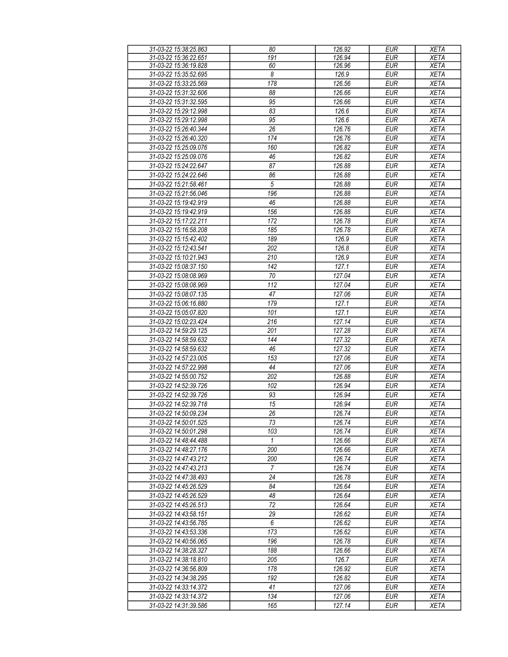| 31-03-22 15:38:25.863 | 80               | 126.92 | <b>EUR</b> | <b>XETA</b> |
|-----------------------|------------------|--------|------------|-------------|
| 31-03-22 15:36:22.651 | 191              | 126.94 | <b>EUR</b> | <b>XETA</b> |
| 31-03-22 15:36:19.828 | 60               | 126.96 | <b>EUR</b> | <b>XETA</b> |
|                       | 8                | 126.9  | <b>EUR</b> |             |
| 31-03-22 15:35:52.695 |                  |        |            | <b>XETA</b> |
| 31-03-22 15:33:25.569 | $\overline{178}$ | 126.56 | <b>EUR</b> | <b>XETA</b> |
| 31-03-22 15:31:32.606 | 88               | 126.66 | <b>EUR</b> | <b>XETA</b> |
| 31-03-22 15:31:32.595 | 95               | 126.66 | <b>EUR</b> | <b>XETA</b> |
| 31-03-22 15:29:12.998 | 83               | 126.6  | <b>EUR</b> | <b>XETA</b> |
| 31-03-22 15:29:12.998 | 95               | 126.6  | <b>EUR</b> | <b>XETA</b> |
|                       |                  |        |            |             |
| 31-03-22 15:26:40.344 | 26               | 126.76 | <b>EUR</b> | <b>XETA</b> |
| 31-03-22 15:26:40.320 | 174              | 126.76 | <b>EUR</b> | <b>XETA</b> |
| 31-03-22 15:25:09.076 | 160              | 126.82 | <b>EUR</b> | <b>XETA</b> |
| 31-03-22 15:25:09.076 | 46               | 126.82 | <b>EUR</b> | <b>XETA</b> |
| 31-03-22 15:24:22.647 | 87               | 126.88 | <b>EUR</b> | <b>XETA</b> |
| 31-03-22 15:24:22.646 | 86               | 126.88 | <b>EUR</b> | <b>XETA</b> |
| 31-03-22 15:21:58.461 | $\overline{5}$   | 126.88 | <b>EUR</b> | <b>XETA</b> |
|                       | 196              |        | <b>EUR</b> |             |
| 31-03-22 15:21:56.046 |                  | 126.88 |            | <b>XETA</b> |
| 31-03-22 15:19:42.919 | 46               | 126.88 | <b>EUR</b> | <b>XETA</b> |
| 31-03-22 15:19:42.919 | 156              | 126.88 | <b>EUR</b> | <b>XETA</b> |
| 31-03-22 15:17:22.211 | 172              | 126.78 | <b>EUR</b> | <b>XETA</b> |
| 31-03-22 15:16:58.208 | 185              | 126.78 | <b>EUR</b> | <b>XETA</b> |
| 31-03-22 15:15:42.402 | 189              | 126.9  | <b>EUR</b> | <b>XETA</b> |
| 31-03-22 15:12:43.541 | $\overline{202}$ | 126.8  | EUR        | <b>XETA</b> |
| 31-03-22 15:10:21.943 | 210              | 126.9  | <b>EUR</b> | <b>XETA</b> |
|                       |                  |        |            |             |
| 31-03-22 15:08:37.150 | $\overline{142}$ | 127.1  | EUR        | <b>XETA</b> |
| 31-03-22 15:08:08.969 | 70               | 127.04 | <b>EUR</b> | <b>XETA</b> |
| 31-03-22 15:08:08.969 | 112              | 127.04 | <b>EUR</b> | <b>XETA</b> |
| 31-03-22 15:08:07.135 | 47               | 127.06 | <b>EUR</b> | <b>XETA</b> |
| 31-03-22 15:06:16.880 | 179              | 127.1  | <b>EUR</b> | <b>XETA</b> |
| 31-03-22 15:05:07.820 | 101              | 127.1  | <b>EUR</b> | <b>XETA</b> |
| 31-03-22 15:02:23.424 | 216              | 127.14 | <b>EUR</b> | <b>XETA</b> |
|                       | 201              |        |            |             |
| 31-03-22 14:59:29.125 |                  | 127.28 | <b>EUR</b> | <b>XETA</b> |
| 31-03-22 14:58:59.632 | 144              | 127.32 | <b>EUR</b> | <b>XETA</b> |
| 31-03-22 14:58:59.632 | 46               | 127.32 | <b>EUR</b> | <b>XETA</b> |
| 31-03-22 14:57:23.005 | 153              | 127.06 | <b>EUR</b> | <b>XETA</b> |
| 31-03-22 14:57:22.998 | 44               | 127.06 | <b>EUR</b> | <b>XETA</b> |
| 31-03-22 14:55:00.752 | 202              | 126.88 | <b>EUR</b> | <b>XETA</b> |
| 31-03-22 14:52:39.726 | 102              | 126.94 | <b>EUR</b> | <b>XETA</b> |
| 31-03-22 14:52:39.726 | 93               | 126.94 | <b>EUR</b> | <b>XETA</b> |
| 31-03-22 14:52:39.718 |                  |        |            |             |
|                       | 15               | 126.94 | <b>EUR</b> | <b>XETA</b> |
| 31-03-22 14:50:09.234 | 26               | 126.74 | EUR        | <b>XETA</b> |
| 31-03-22 14:50:01.525 | 73               | 126.74 | <b>EUR</b> | <b>XETA</b> |
| 31-03-22 14:50:01.298 | 103              | 126.74 | <b>EUR</b> | <b>XETA</b> |
| 31-03-22 14:48:44.488 | $\mathbf{1}$     | 126.66 | <b>EUR</b> | <b>XETA</b> |
| 31-03-22 14:48:27.176 | 200              | 126.66 | <b>EUR</b> | <b>XETA</b> |
| 31-03-22 14:47:43.212 | 200              | 126.74 | <b>EUR</b> | <b>XETA</b> |
| 31-03-22 14:47:43.213 | $\overline{7}$   | 126.74 | <b>EUR</b> | <b>XETA</b> |
| 31-03-22 14:47:38.493 | 24               | 126.78 | <b>EUR</b> | <b>XETA</b> |
|                       |                  |        |            |             |
| 31-03-22 14:45:26.529 | 84               | 126.64 | <b>EUR</b> | <b>XETA</b> |
| 31-03-22 14:45:26.529 | 48               | 126.64 | <b>EUR</b> | <b>XETA</b> |
| 31-03-22 14:45:26.513 | 72               | 126.64 | <b>EUR</b> | <b>XETA</b> |
| 31-03-22 14:43:58.151 | 29               | 126.62 | <b>EUR</b> | <b>XETA</b> |
| 31-03-22 14:43:56.785 | 6                | 126.62 | <b>EUR</b> | <b>XETA</b> |
| 31-03-22 14:43:53.336 | 173              | 126.62 | <b>EUR</b> | <b>XETA</b> |
| 31-03-22 14:40:56.065 | 196              | 126.78 | <b>EUR</b> | <b>XETA</b> |
| 31-03-22 14:38:28.327 | 188              | 126.66 | <b>EUR</b> | <b>XETA</b> |
|                       | 205              |        |            |             |
| 31-03-22 14:38:18.810 |                  | 126.7  | <b>EUR</b> | <b>XETA</b> |
| 31-03-22 14:36:56.809 | 178              | 126.92 | <b>EUR</b> | <b>XETA</b> |
| 31-03-22 14:34:38.295 | 192              | 126.82 | <b>EUR</b> | <b>XETA</b> |
| 31-03-22 14:33:14.372 | 41               | 127.06 | <b>EUR</b> | <b>XETA</b> |
| 31-03-22 14:33:14.372 | 134              | 127.06 | <b>EUR</b> | <b>XETA</b> |
| 31-03-22 14:31:39.586 | 165              | 127.14 | <b>EUR</b> | <b>XETA</b> |
|                       |                  |        |            |             |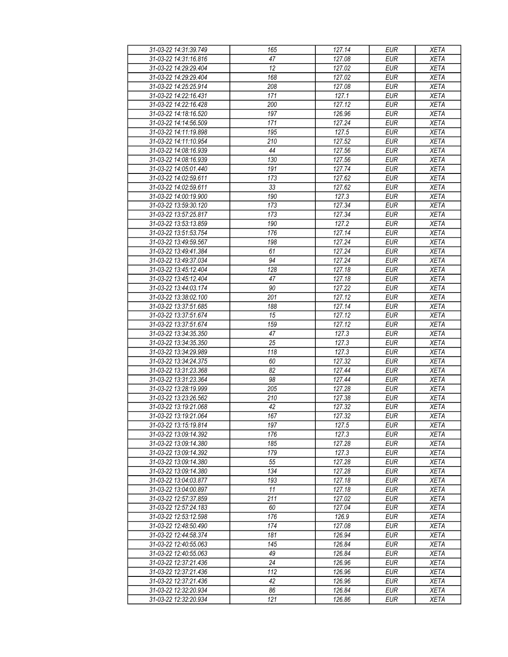| 31-03-22 14:31:39.749 | 165              | 127.14              | <b>EUR</b> | <b>XETA</b> |
|-----------------------|------------------|---------------------|------------|-------------|
| 31-03-22 14:31:16.816 | 47               | 127.08              | <b>EUR</b> | <b>XETA</b> |
| 31-03-22 14:29:29.404 | $\overline{12}$  | 127.02              | <b>EUR</b> | <b>XETA</b> |
| 31-03-22 14:29:29.404 | 168              | 127.02              | <b>EUR</b> | <b>XETA</b> |
| 31-03-22 14:25:25.914 | 208              | 127.08              | <b>EUR</b> | <b>XETA</b> |
|                       |                  |                     |            | <b>XETA</b> |
| 31-03-22 14:22:16.431 | 171              | 127.1               | <b>EUR</b> |             |
| 31-03-22 14:22:16.428 | 200              | 127.12              | <b>EUR</b> | <b>XETA</b> |
| 31-03-22 14:18:16.520 | 197              | 126.96              | <b>EUR</b> | <b>XETA</b> |
| 31-03-22 14:14:56.509 | 171              | 127.24              | <b>EUR</b> | <b>XETA</b> |
| 31-03-22 14:11:19.898 | 195              | 127.5               | <b>EUR</b> | <b>XETA</b> |
| 31-03-22 14:11:10.954 | 210              | 127.52              | <b>EUR</b> | <b>XETA</b> |
| 31-03-22 14:08:16.939 | 44               | 127.56              | <b>EUR</b> | <b>XETA</b> |
| 31-03-22 14:08:16.939 | 130              | 127.56              | <b>EUR</b> | <b>XETA</b> |
| 31-03-22 14:05:01.440 | 191              | 127.74              | <b>EUR</b> | <b>XETA</b> |
| 31-03-22 14:02:59.611 | $\overline{173}$ | 127.62              | <b>EUR</b> | <b>XETA</b> |
| 31-03-22 14:02:59.611 | 33               | 127.62              | <b>EUR</b> | <b>XETA</b> |
| 31-03-22 14:00:19.900 | 190              | 127.3               | <b>EUR</b> | <b>XETA</b> |
| 31-03-22 13:59:30.120 | 173              | 127.34              | <b>EUR</b> | <b>XETA</b> |
| 31-03-22 13:57:25.817 | 173              | 127.34              | <b>EUR</b> | <b>XETA</b> |
| 31-03-22 13:53:13.859 | 190              | 127.2               | <b>EUR</b> | <b>XETA</b> |
| 31-03-22 13:51:53.754 | 176              | 127.14              | <b>EUR</b> | <b>XETA</b> |
| 31-03-22 13:49:59.567 | 198              | 127.24              | <b>EUR</b> | <b>XETA</b> |
| 31-03-22 13:49:41.384 | 61               | 127.24              | <b>EUR</b> | <b>XETA</b> |
| 31-03-22 13:49:37.034 | 94               | 127.24              | <b>EUR</b> | <b>XETA</b> |
| 31-03-22 13:45:12.404 | 128              | 127.18              | <b>EUR</b> | <b>XETA</b> |
| 31-03-22 13:45:12.404 | 47               | 127.18              | <b>EUR</b> | <b>XETA</b> |
| 31-03-22 13:44:03.174 | 90               | 127.22              | <b>EUR</b> | <b>XETA</b> |
| 31-03-22 13:38:02.100 | 201              | 127.12              | <b>EUR</b> | <b>XETA</b> |
|                       | 188              | 127.14              |            |             |
| 31-03-22 13:37:51.685 |                  |                     | <b>EUR</b> | <b>XETA</b> |
| 31-03-22 13:37:51.674 | 15               | 127.12              | <b>EUR</b> | <b>XETA</b> |
| 31-03-22 13:37:51.674 | 159              | 127.12              | <b>EUR</b> | <b>XETA</b> |
| 31-03-22 13:34:35.350 | 47               | 127.3               | <b>EUR</b> | <b>XETA</b> |
| 31-03-22 13:34:35.350 | 25               | 127.3               | <b>EUR</b> | <b>XETA</b> |
| 31-03-22 13:34:29.989 | 118              | 127.3               | <b>EUR</b> | <b>XETA</b> |
| 31-03-22 13:34:24.375 | 60               | 127.32              | <b>EUR</b> | <b>XETA</b> |
| 31-03-22 13:31:23.368 | 82               | 127.44              | <b>EUR</b> | <b>XETA</b> |
| 31-03-22 13:31:23.364 | 98               | $\overline{127.44}$ | <b>EUR</b> | <b>XETA</b> |
| 31-03-22 13:28:19.999 | 205              | 127.28              | <b>EUR</b> | <b>XETA</b> |
| 31-03-22 13:23:26.562 | 210              | 127.38              | <b>EUR</b> | <b>XETA</b> |
| 31-03-22 13:19:21.068 | 42               | 127.32              | <b>EUR</b> | <b>XETA</b> |
| 31-03-22 13:19:21.064 | 167              | 127.32              | EUR        | <b>XETA</b> |
| 31-03-22 13:15:19.814 | 197              | 127.5               | <b>EUR</b> | <b>XETA</b> |
| 31-03-22 13:09:14.392 | 176              | 127.3               | <b>EUR</b> | <b>XETA</b> |
| 31-03-22 13:09:14.380 | 185              | 127.28              | EUR        | <b>XETA</b> |
| 31-03-22 13:09:14.392 | 179              | 127.3               | <b>EUR</b> | <b>XETA</b> |
| 31-03-22 13:09:14.380 | 55               | 127.28              | <b>EUR</b> | <b>XETA</b> |
| 31-03-22 13:09:14.380 | 134              | 127.28              | <b>EUR</b> | <b>XETA</b> |
| 31-03-22 13:04:03.877 | 193              | 127.18              | <b>EUR</b> | <b>XETA</b> |
| 31-03-22 13:04:00.897 | 11               | 127.18              | <b>EUR</b> | <b>XETA</b> |
| 31-03-22 12:57:37.859 | 211              | 127.02              | <b>EUR</b> | <b>XETA</b> |
| 31-03-22 12:57:24.183 | 60               | 127.04              | <b>EUR</b> | <b>XETA</b> |
| 31-03-22 12:53:12.598 | 176              | 126.9               | <b>EUR</b> | <b>XETA</b> |
| 31-03-22 12:48:50.490 | 174              | 127.08              | <b>EUR</b> | <b>XETA</b> |
| 31-03-22 12:44:58.374 | 181              | 126.94              | <b>EUR</b> | <b>XETA</b> |
| 31-03-22 12:40:55.063 | 145              | 126.84              | <b>EUR</b> | <b>XETA</b> |
| 31-03-22 12:40:55.063 | 49               | 126.84              | <b>EUR</b> | <b>XETA</b> |
| 31-03-22 12:37:21.436 | 24               | 126.96              | <b>EUR</b> | <b>XETA</b> |
|                       |                  |                     |            |             |
| 31-03-22 12:37:21.436 | 112              | 126.96              | <b>EUR</b> | <b>XETA</b> |
| 31-03-22 12:37:21.436 | 42               | 126.96              | <b>EUR</b> | <b>XETA</b> |
| 31-03-22 12:32:20.934 | 86               | 126.84              | <b>EUR</b> | <b>XETA</b> |
| 31-03-22 12:32:20.934 | 121              | 126.86              | <b>EUR</b> | <b>XETA</b> |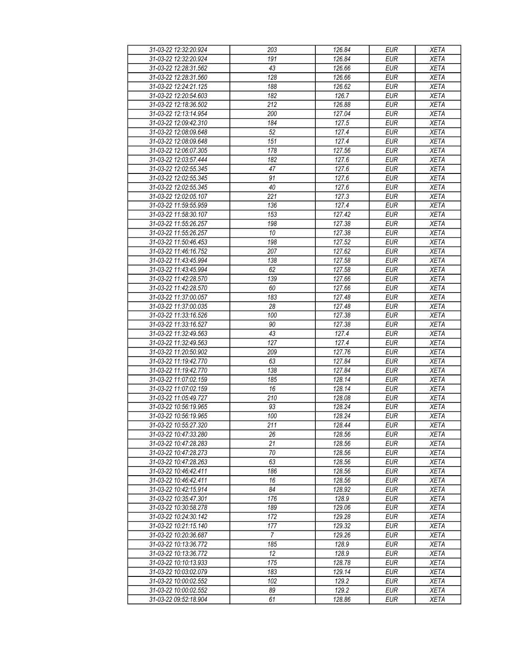| 31-03-22 12:32:20.924 | 203              | 126.84 | <b>EUR</b> | <b>XETA</b> |
|-----------------------|------------------|--------|------------|-------------|
| 31-03-22 12:32:20.924 | 191              | 126.84 | <b>EUR</b> | <b>XETA</b> |
| 31-03-22 12:28:31.562 | 43               | 126.66 | <b>EUR</b> | <b>XETA</b> |
| 31-03-22 12:28:31.560 | 128              | 126.66 | <b>EUR</b> | <b>XETA</b> |
| 31-03-22 12:24:21.125 | 188              | 126.62 | <b>EUR</b> | <b>XETA</b> |
| 31-03-22 12:20:54.603 | 182              | 126.7  | <b>EUR</b> | <b>XETA</b> |
| 31-03-22 12:18:36.502 | 212              | 126.88 | <b>EUR</b> | <b>XETA</b> |
| 31-03-22 12:13:14.954 | 200              | 127.04 | <b>EUR</b> | <b>XETA</b> |
| 31-03-22 12:09:42.310 | 184              | 127.5  | <b>EUR</b> | <b>XETA</b> |
| 31-03-22 12:08:09.648 | 52               | 127.4  | <b>EUR</b> | <b>XETA</b> |
| 31-03-22 12:08:09.648 | 151              | 127.4  | <b>EUR</b> | <b>XETA</b> |
| 31-03-22 12:06:07.305 | 178              | 127.56 | <b>EUR</b> | <b>XETA</b> |
| 31-03-22 12:03:57.444 | 182              | 127.6  | <b>EUR</b> | <b>XETA</b> |
| 31-03-22 12:02:55.345 | 47               | 127.6  | <b>EUR</b> | <b>XETA</b> |
| 31-03-22 12:02:55.345 | 91               | 127.6  | EUR        | <b>XETA</b> |
| 31-03-22 12:02:55.345 | 40               | 127.6  | <b>EUR</b> | <b>XETA</b> |
| 31-03-22 12:02:05.107 | $\overline{221}$ | 127.3  | EUR        | <b>XETA</b> |
| 31-03-22 11:59:55.959 | 136              | 127.4  | <b>EUR</b> | <b>XETA</b> |
| 31-03-22 11:58:30.107 | 153              | 127.42 | <b>EUR</b> | <b>XETA</b> |
|                       |                  |        |            |             |
| 31-03-22 11:55:26.257 | 198              | 127.38 | <b>EUR</b> | <b>XETA</b> |
| 31-03-22 11:55:26.257 | 10               | 127.38 | <b>EUR</b> | <b>XETA</b> |
| 31-03-22 11:50:46.453 | 198              | 127.52 | <b>EUR</b> | <b>XETA</b> |
| 31-03-22 11:46:16.752 | 207              | 127.62 | <b>EUR</b> | <b>XETA</b> |
| 31-03-22 11:43:45.994 | 138              | 127.58 | <b>EUR</b> | <b>XETA</b> |
| 31-03-22 11:43:45.994 | 62               | 127.58 | <b>EUR</b> | <b>XETA</b> |
| 31-03-22 11:42:28.570 | 139              | 127.66 | EUR        | <b>XETA</b> |
| 31-03-22 11:42:28.570 | 60               | 127.66 | <b>EUR</b> | <b>XETA</b> |
| 31-03-22 11:37:00.057 | 183              | 127.48 | <b>EUR</b> | <b>XETA</b> |
| 31-03-22 11:37:00.035 | 28               | 127.48 | <b>EUR</b> | <b>XETA</b> |
| 31-03-22 11:33:16.526 | 100              | 127.38 | <b>EUR</b> | <b>XETA</b> |
| 31-03-22 11:33:16.527 | 90               | 127.38 | <b>EUR</b> | <b>XETA</b> |
| 31-03-22 11:32:49.563 | 43               | 127.4  | <b>EUR</b> | <b>XETA</b> |
| 31-03-22 11:32:49.563 | 127              | 127.4  | <b>EUR</b> | <b>XETA</b> |
| 31-03-22 11:20:50.902 | 209              | 127.76 | <b>EUR</b> | <b>XETA</b> |
| 31-03-22 11:19:42.770 | 63               | 127.84 | <b>EUR</b> | <b>XETA</b> |
| 31-03-22 11:19:42.770 | 138              | 127.84 | <b>EUR</b> | <b>XETA</b> |
| 31-03-22 11:07:02.159 | 185              | 128.14 | <b>EUR</b> | <b>XETA</b> |
| 31-03-22 11:07:02.159 | 16               | 128.14 | <b>EUR</b> | <b>XETA</b> |
| 31-03-22 11:05:49.727 | 210              | 128.08 | <b>EUR</b> | <b>XETA</b> |
| 31-03-22 10:56:19.965 | 93               | 128.24 | <b>EUR</b> | <b>XETA</b> |
| 31-03-22 10:56:19.965 | 100              | 128.24 | <b>EUR</b> | <b>XETA</b> |
| 31-03-22 10:55:27.320 | 211              | 128.44 | <b>EUR</b> | <b>XETA</b> |
| 31-03-22 10:47:33.280 | 26               | 128.56 | <b>EUR</b> | <b>XETA</b> |
| 31-03-22 10:47:28.283 | 21               | 128.56 | <b>EUR</b> | <b>XETA</b> |
| 31-03-22 10:47:28.273 | 70               | 128.56 | <b>EUR</b> | <b>XETA</b> |
| 31-03-22 10:47:28.263 | 63               | 128.56 | <b>EUR</b> | <b>XETA</b> |
| 31-03-22 10:46:42.411 | 186              | 128.56 | <b>EUR</b> | <b>XETA</b> |
| 31-03-22 10:46:42.411 | 16               | 128.56 | <b>EUR</b> | <b>XETA</b> |
| 31-03-22 10:42:15.914 | 84               | 128.92 | <b>EUR</b> | <b>XETA</b> |
| 31-03-22 10:35:47.301 | 176              | 128.9  | <b>EUR</b> | <b>XETA</b> |
| 31-03-22 10:30:58.278 | 189              | 129.06 | <b>EUR</b> | <b>XETA</b> |
| 31-03-22 10:24:30.142 | 172              | 129.28 | <b>EUR</b> | <b>XETA</b> |
| 31-03-22 10:21:15.140 | 177              | 129.32 | <b>EUR</b> | <b>XETA</b> |
| 31-03-22 10:20:36.687 | $\overline{7}$   | 129.26 | <b>EUR</b> | <b>XETA</b> |
| 31-03-22 10:13:36.772 | 185              | 128.9  | <b>EUR</b> | <b>XETA</b> |
| 31-03-22 10:13:36.772 | 12               | 128.9  | <b>EUR</b> | <b>XETA</b> |
| 31-03-22 10:10:13.933 | 175              | 128.78 | <b>EUR</b> | <b>XETA</b> |
| 31-03-22 10:03:02.079 | 183              | 129.14 | <b>EUR</b> | <b>XETA</b> |
| 31-03-22 10:00:02.552 | 102              | 129.2  | <b>EUR</b> | <b>XETA</b> |
| 31-03-22 10:00:02.552 | 89               | 129.2  | <b>EUR</b> | <b>XETA</b> |
| 31-03-22 09:52:18.904 | 61               | 128.86 | <b>EUR</b> | <b>XETA</b> |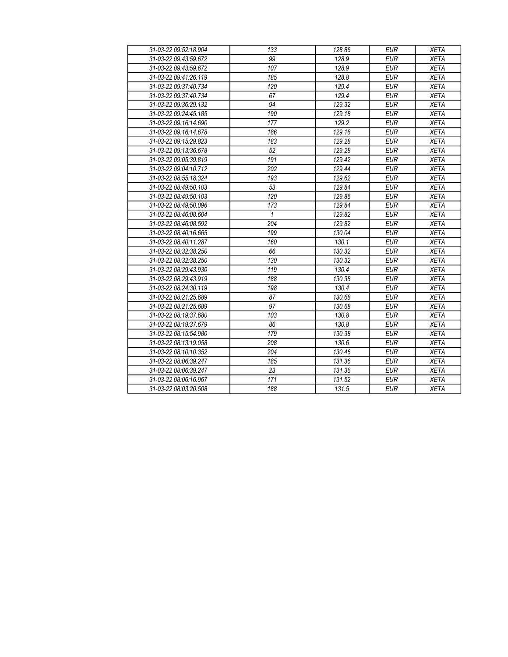| 31-03-22 09:52:18.904 | 133          | 128.86 | <b>EUR</b> | <b>XETA</b> |
|-----------------------|--------------|--------|------------|-------------|
| 31-03-22 09:43:59.672 | 99           | 128.9  | <b>EUR</b> | <b>XETA</b> |
| 31-03-22 09:43:59.672 | 107          | 128.9  | <b>EUR</b> | <b>XETA</b> |
| 31-03-22 09:41:26.119 | 185          | 128.8  | <b>EUR</b> | <b>XETA</b> |
| 31-03-22 09:37:40.734 | 120          | 129.4  | <b>EUR</b> | <b>XETA</b> |
| 31-03-22 09:37:40.734 | 67           | 129.4  | <b>EUR</b> | <b>XETA</b> |
| 31-03-22 09:36:29.132 | 94           | 129.32 | <b>EUR</b> | <b>XETA</b> |
| 31-03-22 09:24:45.185 | 190          | 129.18 | <b>EUR</b> | <b>XETA</b> |
| 31-03-22 09:16:14.690 | 177          | 129.2  | <b>EUR</b> | <b>XETA</b> |
| 31-03-22 09:16:14.678 | 186          | 129.18 | <b>EUR</b> | <b>XETA</b> |
| 31-03-22 09:15:29.823 | 183          | 129.28 | <b>EUR</b> | <b>XETA</b> |
| 31-03-22 09:13:36.678 | 52           | 129.28 | <b>EUR</b> | <b>XETA</b> |
| 31-03-22 09:05:39.819 | 191          | 129.42 | <b>EUR</b> | <b>XETA</b> |
| 31-03-22 09:04:10.712 | 202          | 129.44 | <b>EUR</b> | <b>XETA</b> |
| 31-03-22 08:55:18.324 | 193          | 129.62 | <b>EUR</b> | <b>XETA</b> |
| 31-03-22 08:49:50.103 | 53           | 129.84 | <b>EUR</b> | <b>XETA</b> |
| 31-03-22 08:49:50.103 | 120          | 129.86 | <b>EUR</b> | <b>XETA</b> |
| 31-03-22 08:49:50.096 | 173          | 129.84 | <b>EUR</b> | <b>XETA</b> |
| 31-03-22 08:46:08.604 | $\mathbf{1}$ | 129.82 | <b>EUR</b> | <b>XETA</b> |
| 31-03-22 08:46:08.592 | 204          | 129.82 | <b>EUR</b> | <b>XETA</b> |
| 31-03-22 08:40:16.665 | 199          | 130.04 | <b>EUR</b> | <b>XETA</b> |
| 31-03-22 08:40:11.287 | 160          | 130.1  | <b>EUR</b> | <b>XETA</b> |
| 31-03-22 08:32:38.250 | 66           | 130.32 | <b>EUR</b> | <b>XETA</b> |
| 31-03-22 08:32:38.250 | 130          | 130.32 | <b>EUR</b> | <b>XETA</b> |
| 31-03-22 08:29:43.930 | 119          | 130.4  | <b>EUR</b> | <b>XETA</b> |
| 31-03-22 08:29:43.919 | 188          | 130.38 | <b>EUR</b> | <b>XETA</b> |
| 31-03-22 08:24:30.119 | 198          | 130.4  | <b>EUR</b> | <b>XETA</b> |
| 31-03-22 08:21:25.689 | 87           | 130.68 | <b>EUR</b> | <b>XETA</b> |
| 31-03-22 08:21:25.689 | 97           | 130.68 | <b>EUR</b> | <b>XETA</b> |
| 31-03-22 08:19:37.680 | 103          | 130.8  | <b>EUR</b> | <b>XETA</b> |
| 31-03-22 08:19:37.679 | 86           | 130.8  | <b>EUR</b> | <b>XETA</b> |
| 31-03-22 08:15:54.980 | 179          | 130.38 | <b>EUR</b> | <b>XETA</b> |
| 31-03-22 08:13:19.058 | 208          | 130.6  | <b>EUR</b> | <b>XETA</b> |
| 31-03-22 08:10:10.352 | 204          | 130.46 | <b>EUR</b> | <b>XETA</b> |
| 31-03-22 08:06:39.247 | 185          | 131.36 | <b>EUR</b> | <b>XETA</b> |
| 31-03-22 08:06:39.247 | 23           | 131.36 | <b>EUR</b> | <b>XETA</b> |
| 31-03-22 08:06:16.967 | 171          | 131.52 | <b>EUR</b> | <b>XETA</b> |
| 31-03-22 08:03:20.508 | 188          | 131.5  | <b>EUR</b> | <b>XETA</b> |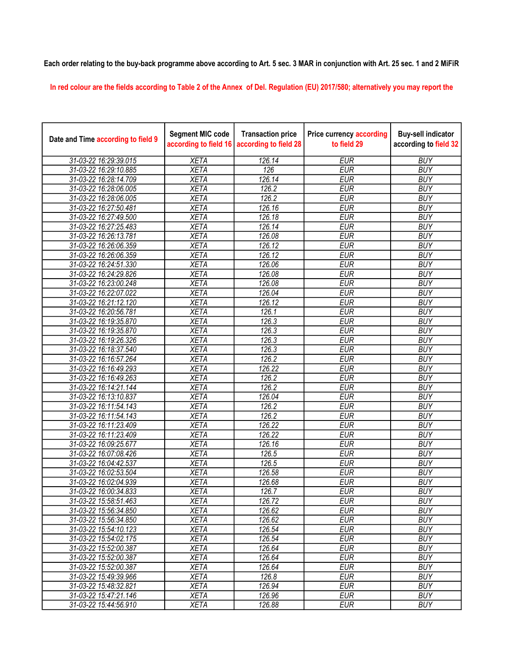## Each order relating to the buy-back programme above according to Art. 5 sec. 3 MAR in conjunction with Art. 25 sec. 1 and 2 MiFiR

In red colour are the fields according to Table 2 of the Annex of Del. Regulation (EU) 2017/580; alternatively you may report the

| Date and Time according to field 9 | <b>Segment MIC code</b><br>according to field 16 | <b>Transaction price</b><br>according to field 28 | <b>Price currency according</b><br>to field 29 | <b>Buy-sell indicator</b><br>according to field 32 |
|------------------------------------|--------------------------------------------------|---------------------------------------------------|------------------------------------------------|----------------------------------------------------|
| 31-03-22 16:29:39.015              | <b>XETA</b>                                      | 126.14                                            | EUR                                            | <b>BUY</b>                                         |
| 31-03-22 16:29:10.885              | <b>XETA</b>                                      | $\overline{126}$                                  | <b>EUR</b>                                     | <b>BUY</b>                                         |
| 31-03-22 16:28:14.709              | <b>XETA</b>                                      | 126.14                                            | <b>EUR</b>                                     | <b>BUY</b>                                         |
| 31-03-22 16:28:06.005              | <b>XETA</b>                                      | 126.2                                             | <b>EUR</b>                                     | <b>BUY</b>                                         |
| 31-03-22 16:28:06.005              | <b>XETA</b>                                      | 126.2                                             | <b>EUR</b>                                     | <b>BUY</b>                                         |
| 31-03-22 16:27:50.481              | <b>XETA</b>                                      | 126.16                                            | <b>EUR</b>                                     | <b>BUY</b>                                         |
| 31-03-22 16:27:49.500              | <b>XETA</b>                                      | 126.18                                            | <b>EUR</b>                                     | <b>BUY</b>                                         |
| 31-03-22 16:27:25.483              | <b>XETA</b>                                      | 126.14                                            | <b>EUR</b>                                     | <b>BUY</b>                                         |
| 31-03-22 16:26:13.781              | <b>XETA</b>                                      | 126.08                                            | <b>EUR</b>                                     | <b>BUY</b>                                         |
| 31-03-22 16:26:06.359              | <b>XETA</b>                                      | 126.12                                            | <b>EUR</b>                                     | <b>BUY</b>                                         |
| 31-03-22 16:26:06.359              | <b>XETA</b>                                      | 126.12                                            | <b>EUR</b>                                     | <b>BUY</b>                                         |
| 31-03-22 16:24:51.330              | <b>XETA</b>                                      | 126.06                                            | <b>EUR</b>                                     | <b>BUY</b>                                         |
| 31-03-22 16:24:29.826              | <b>XETA</b>                                      | 126.08                                            | <b>EUR</b>                                     | <b>BUY</b>                                         |
| 31-03-22 16:23:00.248              | <b>XETA</b>                                      | 126.08                                            | <b>EUR</b>                                     | <b>BUY</b>                                         |
| 31-03-22 16:22:07.022              | <b>XETA</b>                                      | 126.04                                            | <b>EUR</b>                                     | <b>BUY</b>                                         |
| 31-03-22 16:21:12.120              | <b>XETA</b>                                      | 126.12                                            | <b>EUR</b>                                     | <b>BUY</b>                                         |
| 31-03-22 16:20:56.781              | <b>XETA</b>                                      | 126.1                                             | <b>EUR</b>                                     | <b>BUY</b>                                         |
| 31-03-22 16:19:35.870              | <b>XETA</b>                                      | 126.3                                             | <b>EUR</b>                                     | <b>BUY</b>                                         |
| 31-03-22 16:19:35.870              | <b>XETA</b>                                      | 126.3                                             | <b>EUR</b>                                     | <b>BUY</b>                                         |
| 31-03-22 16:19:26.326              | <b>XETA</b>                                      | 126.3                                             | <b>EUR</b>                                     | <b>BUY</b>                                         |
| 31-03-22 16:18:37.540              | <b>XETA</b>                                      | 126.3                                             | <b>EUR</b>                                     | <b>BUY</b>                                         |
| 31-03-22 16:16:57.264              | <b>XETA</b>                                      | 126.2                                             | <b>EUR</b>                                     | <b>BUY</b>                                         |
| 31-03-22 16:16:49.293              | <b>XETA</b>                                      | 126.22                                            | <b>EUR</b>                                     | <b>BUY</b>                                         |
| 31-03-22 16:16:49.263              | <b>XETA</b>                                      | 126.2                                             | <b>EUR</b>                                     | <b>BUY</b>                                         |
| 31-03-22 16:14:21.144              | <b>XETA</b>                                      | 126.2                                             | <b>EUR</b>                                     | <b>BUY</b>                                         |
| 31-03-22 16:13:10.837              | <b>XETA</b>                                      | 126.04                                            | <b>EUR</b>                                     | <b>BUY</b>                                         |
| 31-03-22 16:11:54.143              | <b>XETA</b>                                      | 126.2                                             | <b>EUR</b>                                     | <b>BUY</b>                                         |
| 31-03-22 16:11:54.143              | <b>XETA</b>                                      | 126.2                                             | <b>EUR</b>                                     | <b>BUY</b>                                         |
| 31-03-22 16:11:23.409              | <b>XETA</b>                                      | 126.22                                            | <b>EUR</b>                                     | <b>BUY</b>                                         |
| 31-03-22 16:11:23.409              | <b>XETA</b>                                      | 126.22                                            | <b>EUR</b>                                     | <b>BUY</b>                                         |
| 31-03-22 16:09:25.677              | <b>XETA</b>                                      | 126.16                                            | <b>EUR</b>                                     | <b>BUY</b>                                         |
| 31-03-22 16:07:08.426              | <b>XETA</b>                                      | 126.5                                             | <b>EUR</b>                                     | <b>BUY</b>                                         |
| 31-03-22 16:04:42.537              | <b>XETA</b>                                      | 126.5                                             | <b>EUR</b>                                     | <b>BUY</b>                                         |
| 31-03-22 16:02:53.504              | <b>XETA</b>                                      | 126.58                                            | <b>EUR</b>                                     | <b>BUY</b>                                         |
| 31-03-22 16:02:04.939              | <b>XETA</b>                                      | 126.68                                            | <b>EUR</b>                                     | <b>BUY</b>                                         |
| 31-03-22 16:00:34.833              | <b>XETA</b>                                      | 126.7                                             | <b>EUR</b>                                     | <b>BUY</b>                                         |
| 31-03-22 15:58:51.463              | <b>XETA</b>                                      | 126.72                                            | <b>EUR</b>                                     | <b>BUY</b>                                         |
| 31-03-22 15:56:34.850              | <b>XETA</b>                                      | 126.62                                            | <b>EUR</b>                                     | <b>BUY</b>                                         |
| 31-03-22 15:56:34.850              | <b>XETA</b>                                      | 126.62                                            | <b>EUR</b>                                     | <b>BUY</b>                                         |
| 31-03-22 15:54:10.123              | <b>XETA</b>                                      | 126.54                                            | <b>EUR</b>                                     | <b>BUY</b>                                         |
| 31-03-22 15:54:02.175              | <b>XETA</b>                                      | 126.54                                            | <b>EUR</b>                                     | <b>BUY</b>                                         |
| 31-03-22 15:52:00.387              | <b>XETA</b>                                      | 126.64                                            | <b>EUR</b>                                     | <b>BUY</b>                                         |
| 31-03-22 15:52:00.387              | <b>XETA</b>                                      | 126.64                                            | <b>EUR</b>                                     | <b>BUY</b>                                         |
| 31-03-22 15:52:00.387              | <b>XETA</b>                                      | 126.64                                            | <b>EUR</b>                                     | <b>BUY</b>                                         |
| 31-03-22 15:49:39.966              | <b>XETA</b>                                      | 126.8                                             | <b>EUR</b>                                     | <b>BUY</b>                                         |
| 31-03-22 15:48:32.821              | <b>XETA</b>                                      | 126.94                                            | <b>EUR</b>                                     | <b>BUY</b>                                         |
| 31-03-22 15:47:21.146              | <b>XETA</b>                                      | 126.96                                            | <b>EUR</b>                                     | <b>BUY</b>                                         |
| 31-03-22 15:44:56.910              | <b>XETA</b>                                      | 126.88                                            | <b>EUR</b>                                     | <b>BUY</b>                                         |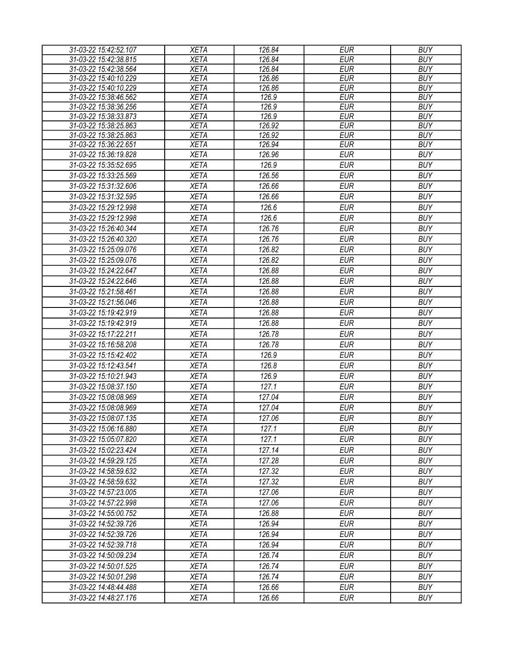| 31-03-22 15:42:52.107 | <b>XETA</b> | 126.84 | <b>EUR</b> | <b>BUY</b> |
|-----------------------|-------------|--------|------------|------------|
| 31-03-22 15:42:38.815 | <b>XETA</b> | 126.84 | <b>EUR</b> | <b>BUY</b> |
| 31-03-22 15:42:38.564 | <b>XETA</b> | 126.84 | <b>EUR</b> | <b>BUY</b> |
| 31-03-22 15:40:10.229 | <b>XETA</b> | 126.86 | <b>EUR</b> | <b>BUY</b> |
| 31-03-22 15:40:10.229 | <b>XETA</b> | 126.86 | <b>EUR</b> | <b>BUY</b> |
| 31-03-22 15:38:46.562 | <b>XETA</b> | 126.9  | <b>EUR</b> | <b>BUY</b> |
| 31-03-22 15:38:36.256 | <b>XETA</b> | 126.9  | <b>EUR</b> | <b>BUY</b> |
| 31-03-22 15:38:33.873 | <b>XETA</b> | 126.9  | <b>EUR</b> | <b>BUY</b> |
| 31-03-22 15:38:25.863 | <b>XETA</b> | 126.92 | <b>EUR</b> | <b>BUY</b> |
| 31-03-22 15:38:25.863 | <b>XETA</b> | 126.92 | <b>EUR</b> | <b>BUY</b> |
| 31-03-22 15:36:22.651 | <b>XETA</b> | 126.94 | <b>EUR</b> | <b>BUY</b> |
| 31-03-22 15:36:19.828 | <b>XETA</b> | 126.96 | <b>EUR</b> | <b>BUY</b> |
| 31-03-22 15:35:52.695 | <b>XETA</b> | 126.9  | <b>EUR</b> | <b>BUY</b> |
| 31-03-22 15:33:25.569 | <b>XETA</b> | 126.56 | <b>EUR</b> | <b>BUY</b> |
| 31-03-22 15:31:32.606 | <b>XETA</b> | 126.66 | <b>EUR</b> | <b>BUY</b> |
| 31-03-22 15:31:32.595 | <b>XETA</b> | 126.66 | <b>EUR</b> | <b>BUY</b> |
| 31-03-22 15:29:12.998 | <b>XETA</b> | 126.6  | <b>EUR</b> | <b>BUY</b> |
| 31-03-22 15:29:12.998 | <b>XETA</b> | 126.6  | <b>EUR</b> | <b>BUY</b> |
| 31-03-22 15:26:40.344 | <b>XETA</b> | 126.76 | <b>EUR</b> | <b>BUY</b> |
| 31-03-22 15:26:40.320 | <b>XETA</b> | 126.76 | <b>EUR</b> | <b>BUY</b> |
| 31-03-22 15:25:09.076 | <b>XETA</b> | 126.82 | <b>EUR</b> | <b>BUY</b> |
| 31-03-22 15:25:09.076 | <b>XETA</b> | 126.82 | <b>EUR</b> | <b>BUY</b> |
| 31-03-22 15:24:22.647 | <b>XETA</b> | 126.88 | <b>EUR</b> | <b>BUY</b> |
| 31-03-22 15:24:22.646 | <b>XETA</b> | 126.88 | <b>EUR</b> | <b>BUY</b> |
| 31-03-22 15:21:58.461 | <b>XETA</b> | 126.88 | <b>EUR</b> | <b>BUY</b> |
|                       |             |        |            |            |
| 31-03-22 15:21:56.046 | <b>XETA</b> | 126.88 | <b>EUR</b> | <b>BUY</b> |
| 31-03-22 15:19:42.919 | <b>XETA</b> | 126.88 | <b>EUR</b> | <b>BUY</b> |
| 31-03-22 15:19:42.919 | <b>XETA</b> | 126.88 | <b>EUR</b> | <b>BUY</b> |
| 31-03-22 15:17:22.211 | <b>XETA</b> | 126.78 | <b>EUR</b> | <b>BUY</b> |
| 31-03-22 15:16:58.208 | <b>XETA</b> | 126.78 | <b>EUR</b> | <b>BUY</b> |
| 31-03-22 15:15:42.402 | <b>XETA</b> | 126.9  | <b>EUR</b> | <b>BUY</b> |
| 31-03-22 15:12:43.541 | <b>XETA</b> | 126.8  | <b>EUR</b> | <b>BUY</b> |
| 31-03-22 15:10:21.943 | <b>XETA</b> | 126.9  | <b>EUR</b> | <b>BUY</b> |
| 31-03-22 15:08:37.150 | <b>XETA</b> | 127.1  | <b>EUR</b> | <b>BUY</b> |
| 31-03-22 15:08:08.969 | <b>XETA</b> | 127.04 | <b>EUR</b> | <b>BUY</b> |
| 31-03-22 15:08:08.969 | <b>XETA</b> | 127.04 | <b>EUR</b> | <b>BUY</b> |
| 31-03-22 15:08:07.135 | <b>XETA</b> | 127.06 | <b>EUR</b> | <b>BUY</b> |
| 31-03-22 15:06:16.880 | <b>XETA</b> | 127.1  | <b>EUR</b> | <b>BUY</b> |
| 31-03-22 15:05:07.820 | <b>XETA</b> | 127.1  | <b>EUR</b> | <b>BUY</b> |
| 31-03-22 15:02:23.424 | <b>XETA</b> | 127.14 | <b>EUR</b> | <b>BUY</b> |
| 31-03-22 14:59:29.125 | <b>XETA</b> | 127.28 | <b>EUR</b> | <b>BUY</b> |
|                       |             |        |            |            |
| 31-03-22 14:58:59.632 | <b>XETA</b> | 127.32 | <b>EUR</b> | <b>BUY</b> |
| 31-03-22 14:58:59.632 | <b>XETA</b> | 127.32 | <b>EUR</b> | <b>BUY</b> |
| 31-03-22 14:57:23.005 | <b>XETA</b> | 127.06 | <b>EUR</b> | <b>BUY</b> |
| 31-03-22 14:57:22.998 | <b>XETA</b> | 127.06 | <b>EUR</b> | <b>BUY</b> |
| 31-03-22 14:55:00.752 | <b>XETA</b> | 126.88 | <b>EUR</b> | <b>BUY</b> |
| 31-03-22 14:52:39.726 | <b>XETA</b> | 126.94 | EUR        | <b>BUY</b> |
| 31-03-22 14:52:39.726 | <b>XETA</b> | 126.94 | <b>EUR</b> | <b>BUY</b> |
| 31-03-22 14:52:39.718 | <b>XETA</b> | 126.94 | <b>EUR</b> | <b>BUY</b> |
| 31-03-22 14:50:09.234 | <b>XETA</b> | 126.74 | <b>EUR</b> | <b>BUY</b> |
| 31-03-22 14:50:01.525 | <b>XETA</b> | 126.74 | <b>EUR</b> | <b>BUY</b> |
| 31-03-22 14:50:01.298 | <b>XETA</b> | 126.74 | <b>EUR</b> | <b>BUY</b> |
| 31-03-22 14:48:44.488 | <b>XETA</b> | 126.66 | <b>EUR</b> | <b>BUY</b> |
| 31-03-22 14:48:27.176 | <b>XETA</b> | 126.66 | <b>EUR</b> | <b>BUY</b> |
|                       |             |        |            |            |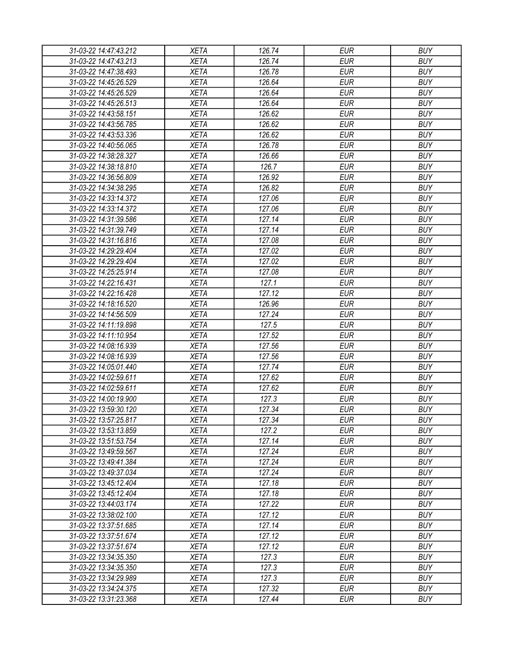| 31-03-22 14:47:43.212 | XETA        | 126.74 | <b>EUR</b> | <b>BUY</b> |
|-----------------------|-------------|--------|------------|------------|
| 31-03-22 14:47:43.213 | <b>XETA</b> | 126.74 | <b>EUR</b> | <b>BUY</b> |
| 31-03-22 14:47:38.493 | <b>XETA</b> | 126.78 | <b>EUR</b> | <b>BUY</b> |
| 31-03-22 14:45:26.529 | <b>XETA</b> | 126.64 | <b>EUR</b> | <b>BUY</b> |
| 31-03-22 14:45:26.529 | <b>XETA</b> | 126.64 | <b>EUR</b> | <b>BUY</b> |
| 31-03-22 14:45:26.513 | <b>XETA</b> | 126.64 | <b>EUR</b> | <b>BUY</b> |
| 31-03-22 14:43:58.151 | <b>XETA</b> | 126.62 | <b>EUR</b> | <b>BUY</b> |
| 31-03-22 14:43:56.785 | <b>XETA</b> | 126.62 | <b>EUR</b> | <b>BUY</b> |
| 31-03-22 14:43:53.336 | <b>XETA</b> | 126.62 | <b>EUR</b> | <b>BUY</b> |
| 31-03-22 14:40:56.065 | <b>XETA</b> | 126.78 | <b>EUR</b> | <b>BUY</b> |
| 31-03-22 14:38:28.327 | <b>XETA</b> | 126.66 | <b>EUR</b> | <b>BUY</b> |
| 31-03-22 14:38:18.810 | <b>XETA</b> | 126.7  | <b>EUR</b> | <b>BUY</b> |
| 31-03-22 14:36:56.809 | <b>XETA</b> | 126.92 | <b>EUR</b> | <b>BUY</b> |
| 31-03-22 14:34:38.295 | <b>XETA</b> | 126.82 | <b>EUR</b> | <b>BUY</b> |
| 31-03-22 14:33:14.372 | <b>XETA</b> | 127.06 | <b>EUR</b> | <b>BUY</b> |
| 31-03-22 14:33:14.372 | <b>XETA</b> | 127.06 | <b>EUR</b> | <b>BUY</b> |
| 31-03-22 14:31:39.586 | <b>XETA</b> | 127.14 | <b>EUR</b> | <b>BUY</b> |
| 31-03-22 14:31:39.749 | <b>XETA</b> | 127.14 | <b>EUR</b> | <b>BUY</b> |
| 31-03-22 14:31:16.816 | <b>XETA</b> | 127.08 | <b>EUR</b> | <b>BUY</b> |
| 31-03-22 14:29:29.404 | <b>XETA</b> | 127.02 | <b>EUR</b> | <b>BUY</b> |
| 31-03-22 14:29:29.404 | <b>XETA</b> | 127.02 | <b>EUR</b> | <b>BUY</b> |
| 31-03-22 14:25:25.914 | <b>XETA</b> | 127.08 | <b>EUR</b> | <b>BUY</b> |
| 31-03-22 14:22:16.431 | <b>XETA</b> | 127.1  | <b>EUR</b> | <b>BUY</b> |
|                       |             |        |            |            |
| 31-03-22 14:22:16.428 | <b>XETA</b> | 127.12 | <b>EUR</b> | <b>BUY</b> |
| 31-03-22 14:18:16.520 | <b>XETA</b> | 126.96 | <b>EUR</b> | <b>BUY</b> |
| 31-03-22 14:14:56.509 | <b>XETA</b> | 127.24 | EUR        | <b>BUY</b> |
| 31-03-22 14:11:19.898 | <b>XETA</b> | 127.5  | <b>EUR</b> | <b>BUY</b> |
| 31-03-22 14:11:10.954 | <b>XETA</b> | 127.52 | <b>EUR</b> | <b>BUY</b> |
| 31-03-22 14:08:16.939 | <b>XETA</b> | 127.56 | <b>EUR</b> | <b>BUY</b> |
| 31-03-22 14:08:16.939 | <b>XETA</b> | 127.56 | <b>EUR</b> | <b>BUY</b> |
| 31-03-22 14:05:01.440 | <b>XETA</b> | 127.74 | <b>EUR</b> | <b>BUY</b> |
| 31-03-22 14:02:59.611 | <b>XETA</b> | 127.62 | <b>EUR</b> | <b>BUY</b> |
| 31-03-22 14:02:59.611 | <b>XETA</b> | 127.62 | <b>EUR</b> | <b>BUY</b> |
| 31-03-22 14:00:19.900 | <b>XETA</b> | 127.3  | <b>EUR</b> | <b>BUY</b> |
| 31-03-22 13:59:30.120 | <b>XETA</b> | 127.34 | <b>EUR</b> | <b>BUY</b> |
| 31-03-22 13:57:25.817 | <b>XETA</b> | 127.34 | <b>EUR</b> | <b>BUY</b> |
| 31-03-22 13:53:13.859 | <b>XETA</b> | 127.2  | <b>EUR</b> | <b>BUY</b> |
| 31-03-22 13:51:53.754 | <b>XETA</b> | 127.14 | <b>EUR</b> | <b>BUY</b> |
| 31-03-22 13:49:59.567 | <b>XETA</b> | 127.24 | <b>EUR</b> | <b>BUY</b> |
| 31-03-22 13:49:41.384 | <b>XETA</b> | 127.24 | <b>EUR</b> | <b>BUY</b> |
| 31-03-22 13:49:37.034 | <b>XETA</b> | 127.24 | <b>EUR</b> | <b>BUY</b> |
| 31-03-22 13:45:12.404 | <b>XETA</b> | 127.18 | <b>EUR</b> | <b>BUY</b> |
| 31-03-22 13:45:12.404 | <b>XETA</b> | 127.18 | <b>EUR</b> | <b>BUY</b> |
| 31-03-22 13:44:03.174 | <b>XETA</b> | 127.22 | <b>EUR</b> | <b>BUY</b> |
| 31-03-22 13:38:02.100 | <b>XETA</b> | 127.12 | <b>EUR</b> | <b>BUY</b> |
| 31-03-22 13:37:51.685 | <b>XETA</b> | 127.14 | <b>EUR</b> | <b>BUY</b> |
| 31-03-22 13:37:51.674 | <b>XETA</b> | 127.12 | <b>EUR</b> | <b>BUY</b> |
| 31-03-22 13:37:51.674 | <b>XETA</b> | 127.12 | <b>EUR</b> | <b>BUY</b> |
| 31-03-22 13:34:35.350 | <b>XETA</b> | 127.3  | <b>EUR</b> | <b>BUY</b> |
| 31-03-22 13:34:35.350 | <b>XETA</b> | 127.3  | <b>EUR</b> | <b>BUY</b> |
| 31-03-22 13:34:29.989 | <b>XETA</b> | 127.3  | EUR        | <b>BUY</b> |
| 31-03-22 13:34:24.375 | <b>XETA</b> | 127.32 | <b>EUR</b> | <b>BUY</b> |
| 31-03-22 13:31:23.368 | <b>XETA</b> | 127.44 | <b>EUR</b> | <b>BUY</b> |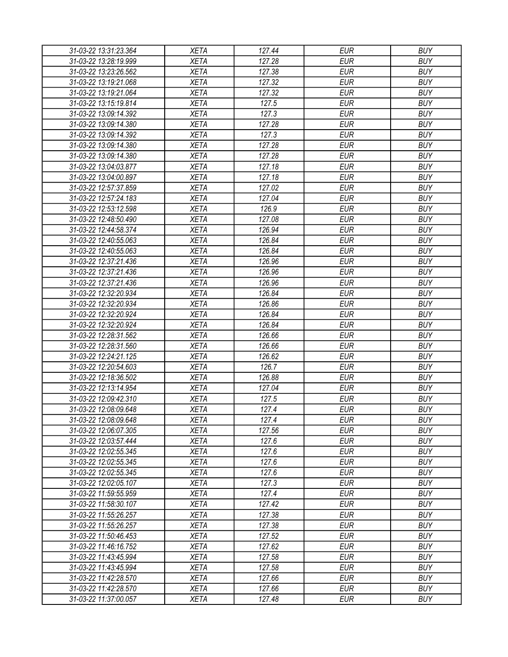| 31-03-22 13:31:23.364 | XETA                       | 127.44         | EUR        | <b>BUY</b> |
|-----------------------|----------------------------|----------------|------------|------------|
| 31-03-22 13:28:19.999 | <b>XETA</b>                | 127.28         | <b>EUR</b> | <b>BUY</b> |
| 31-03-22 13:23:26.562 | <b>XETA</b>                | 127.38         | <b>EUR</b> | <b>BUY</b> |
| 31-03-22 13:19:21.068 | <b>XETA</b>                | 127.32         | <b>EUR</b> | <b>BUY</b> |
| 31-03-22 13:19:21.064 | <b>XETA</b>                | 127.32         | <b>EUR</b> | <b>BUY</b> |
| 31-03-22 13:15:19.814 | <b>XETA</b>                | 127.5          | <b>EUR</b> | <b>BUY</b> |
| 31-03-22 13:09:14.392 | <b>XETA</b>                | 127.3          | <b>EUR</b> | <b>BUY</b> |
| 31-03-22 13:09:14.380 | <b>XETA</b>                | 127.28         | <b>EUR</b> | <b>BUY</b> |
| 31-03-22 13:09:14.392 | <b>XETA</b>                | 127.3          | <b>EUR</b> | <b>BUY</b> |
| 31-03-22 13:09:14.380 | <b>XETA</b>                | 127.28         | <b>EUR</b> | <b>BUY</b> |
| 31-03-22 13:09:14.380 | <b>XETA</b>                | 127.28         | <b>EUR</b> | <b>BUY</b> |
| 31-03-22 13:04:03.877 | <b>XETA</b>                | 127.18         | <b>EUR</b> | <b>BUY</b> |
| 31-03-22 13:04:00.897 | <b>XETA</b>                | 127.18         | <b>EUR</b> | <b>BUY</b> |
| 31-03-22 12:57:37.859 | <b>XETA</b>                | 127.02         | <b>EUR</b> | <b>BUY</b> |
| 31-03-22 12:57:24.183 | <b>XETA</b>                | 127.04         | <b>EUR</b> | <b>BUY</b> |
| 31-03-22 12:53:12.598 | <b>XETA</b>                | 126.9          | <b>EUR</b> | <b>BUY</b> |
| 31-03-22 12:48:50.490 | <b>XETA</b>                | 127.08         | <b>EUR</b> | <b>BUY</b> |
| 31-03-22 12:44:58.374 | <b>XETA</b>                | 126.94         | <b>EUR</b> | <b>BUY</b> |
| 31-03-22 12:40:55.063 | <b>XETA</b>                | 126.84         | <b>EUR</b> | <b>BUY</b> |
| 31-03-22 12:40:55.063 | <b>XETA</b>                | 126.84         | <b>EUR</b> | <b>BUY</b> |
| 31-03-22 12:37:21.436 | <b>XETA</b>                | 126.96         | <b>EUR</b> | <b>BUY</b> |
| 31-03-22 12:37:21.436 | <b>XETA</b>                | 126.96         | <b>EUR</b> | <b>BUY</b> |
| 31-03-22 12:37:21.436 | <b>XETA</b>                | 126.96         | <b>EUR</b> | <b>BUY</b> |
| 31-03-22 12:32:20.934 | <b>XETA</b>                | 126.84         | <b>EUR</b> | <b>BUY</b> |
| 31-03-22 12:32:20.934 | <b>XETA</b>                | 126.86         | <b>EUR</b> | <b>BUY</b> |
| 31-03-22 12:32:20.924 | <b>XETA</b>                | 126.84         | <b>EUR</b> | <b>BUY</b> |
| 31-03-22 12:32:20.924 | <b>XETA</b>                | 126.84         | <b>EUR</b> | <b>BUY</b> |
| 31-03-22 12:28:31.562 | <b>XETA</b>                | 126.66         | <b>EUR</b> | <b>BUY</b> |
| 31-03-22 12:28:31.560 | <b>XETA</b>                | 126.66         | <b>EUR</b> | <b>BUY</b> |
| 31-03-22 12:24:21.125 | <b>XETA</b>                | 126.62         | <b>EUR</b> | <b>BUY</b> |
| 31-03-22 12:20:54.603 | <b>XETA</b>                | 126.7          | <b>EUR</b> | <b>BUY</b> |
| 31-03-22 12:18:36.502 | <b>XETA</b>                | 126.88         | <b>EUR</b> | <b>BUY</b> |
| 31-03-22 12:13:14.954 | <b>XETA</b>                | 127.04         | <b>EUR</b> | <b>BUY</b> |
| 31-03-22 12:09:42.310 | <b>XETA</b>                | 127.5          | <b>EUR</b> | <b>BUY</b> |
| 31-03-22 12:08:09.648 | <b>XETA</b>                | 127.4          | <b>EUR</b> | <b>BUY</b> |
| 31-03-22 12:08:09.648 | <b>XETA</b>                | 127.4          | <b>EUR</b> | <b>BUY</b> |
| 31-03-22 12:06:07.305 | <b>XETA</b>                | 127.56         | <b>EUR</b> | <b>BUY</b> |
| 31-03-22 12:03:57.444 | <b>XETA</b>                | 127.6          | <b>EUR</b> | <b>BUY</b> |
| 31-03-22 12:02:55.345 | <b>XETA</b>                | 127.6          | <b>EUR</b> | <b>BUY</b> |
| 31-03-22 12:02:55.345 | <b>XETA</b>                | 127.6          | <b>EUR</b> | <b>BUY</b> |
| 31-03-22 12:02:55.345 | <b>XETA</b>                | 127.6          | <b>EUR</b> | <b>BUY</b> |
|                       |                            |                | <b>EUR</b> | <b>BUY</b> |
| 31-03-22 12:02:05.107 | <b>XETA</b><br><b>XETA</b> | 127.3<br>127.4 | <b>EUR</b> | <b>BUY</b> |
| 31-03-22 11:59:55.959 | <b>XETA</b>                | 127.42         | <b>EUR</b> | <b>BUY</b> |
| 31-03-22 11:58:30.107 |                            |                | <b>EUR</b> | <b>BUY</b> |
| 31-03-22 11:55:26.257 | <b>XETA</b>                | 127.38         |            |            |
| 31-03-22 11:55:26.257 | <b>XETA</b>                | 127.38         | <b>EUR</b> | <b>BUY</b> |
| 31-03-22 11:50:46.453 | <b>XETA</b>                | 127.52         | <b>EUR</b> | <b>BUY</b> |
| 31-03-22 11:46:16.752 | <b>XETA</b>                | 127.62         | <b>EUR</b> | <b>BUY</b> |
| 31-03-22 11:43:45.994 | <b>XETA</b>                | 127.58         | <b>EUR</b> | <b>BUY</b> |
| 31-03-22 11:43:45.994 | <b>XETA</b>                | 127.58         | <b>EUR</b> | <b>BUY</b> |
| 31-03-22 11:42:28.570 | <b>XETA</b>                | 127.66         | EUR        | <b>BUY</b> |
| 31-03-22 11:42:28.570 | <b>XETA</b>                | 127.66         | <b>EUR</b> | <b>BUY</b> |
| 31-03-22 11:37:00.057 | XETA                       | 127.48         | <b>EUR</b> | <b>BUY</b> |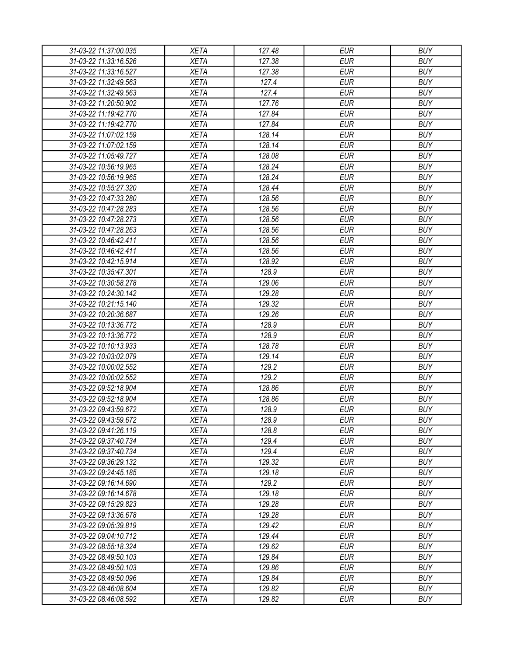| 31-03-22 11:37:00.035 | <b>XETA</b> | 127.48 | <b>EUR</b> | <b>BUY</b> |
|-----------------------|-------------|--------|------------|------------|
| 31-03-22 11:33:16.526 | <b>XETA</b> | 127.38 | <b>EUR</b> | <b>BUY</b> |
| 31-03-22 11:33:16.527 | <b>XETA</b> | 127.38 | <b>EUR</b> | <b>BUY</b> |
| 31-03-22 11:32:49.563 | <b>XETA</b> | 127.4  | <b>EUR</b> | <b>BUY</b> |
| 31-03-22 11:32:49.563 | <b>XETA</b> | 127.4  | <b>EUR</b> | <b>BUY</b> |
| 31-03-22 11:20:50.902 | <b>XETA</b> | 127.76 | <b>EUR</b> | <b>BUY</b> |
| 31-03-22 11:19:42.770 | <b>XETA</b> | 127.84 | <b>EUR</b> | <b>BUY</b> |
| 31-03-22 11:19:42.770 | <b>XETA</b> | 127.84 | <b>EUR</b> | <b>BUY</b> |
| 31-03-22 11:07:02.159 | <b>XETA</b> | 128.14 | <b>EUR</b> | <b>BUY</b> |
| 31-03-22 11:07:02.159 | <b>XETA</b> | 128.14 | <b>EUR</b> | <b>BUY</b> |
| 31-03-22 11:05:49.727 | <b>XETA</b> | 128.08 | <b>EUR</b> | <b>BUY</b> |
| 31-03-22 10:56:19.965 | <b>XETA</b> | 128.24 | <b>EUR</b> | <b>BUY</b> |
| 31-03-22 10:56:19.965 | <b>XETA</b> | 128.24 | <b>EUR</b> | <b>BUY</b> |
| 31-03-22 10:55:27.320 | <b>XETA</b> | 128.44 | <b>EUR</b> | <b>BUY</b> |
| 31-03-22 10:47:33.280 | <b>XETA</b> | 128.56 | <b>EUR</b> | <b>BUY</b> |
| 31-03-22 10:47:28.283 | <b>XETA</b> | 128.56 | <b>EUR</b> | <b>BUY</b> |
| 31-03-22 10:47:28.273 | <b>XETA</b> | 128.56 | <b>EUR</b> | <b>BUY</b> |
| 31-03-22 10:47:28.263 | <b>XETA</b> | 128.56 | <b>EUR</b> | <b>BUY</b> |
| 31-03-22 10:46:42.411 | <b>XETA</b> | 128.56 | <b>EUR</b> | <b>BUY</b> |
| 31-03-22 10:46:42.411 | <b>XETA</b> | 128.56 | <b>EUR</b> | <b>BUY</b> |
| 31-03-22 10:42:15.914 | <b>XETA</b> | 128.92 | <b>EUR</b> | <b>BUY</b> |
| 31-03-22 10:35:47.301 | <b>XETA</b> | 128.9  | <b>EUR</b> | <b>BUY</b> |
| 31-03-22 10:30:58.278 | <b>XETA</b> | 129.06 | <b>EUR</b> | <b>BUY</b> |
| 31-03-22 10:24:30.142 | <b>XETA</b> | 129.28 | <b>EUR</b> | <b>BUY</b> |
| 31-03-22 10:21:15.140 | <b>XETA</b> | 129.32 | <b>EUR</b> | <b>BUY</b> |
| 31-03-22 10:20:36.687 | <b>XETA</b> | 129.26 | <b>EUR</b> | <b>BUY</b> |
| 31-03-22 10:13:36.772 | <b>XETA</b> | 128.9  | <b>EUR</b> | <b>BUY</b> |
| 31-03-22 10:13:36.772 | <b>XETA</b> | 128.9  | <b>EUR</b> | <b>BUY</b> |
| 31-03-22 10:10:13.933 | <b>XETA</b> | 128.78 | <b>EUR</b> | <b>BUY</b> |
| 31-03-22 10:03:02.079 | <b>XETA</b> | 129.14 | <b>EUR</b> | <b>BUY</b> |
| 31-03-22 10:00:02.552 | <b>XETA</b> | 129.2  | <b>EUR</b> | <b>BUY</b> |
| 31-03-22 10:00:02.552 | <b>XETA</b> | 129.2  | <b>EUR</b> | <b>BUY</b> |
| 31-03-22 09:52:18.904 | <b>XETA</b> | 128.86 | <b>EUR</b> | <b>BUY</b> |
| 31-03-22 09:52:18.904 | <b>XETA</b> | 128.86 | <b>EUR</b> | <b>BUY</b> |
| 31-03-22 09:43:59.672 | <b>XETA</b> | 128.9  | <b>EUR</b> | <b>BUY</b> |
| 31-03-22 09:43:59.672 | <b>XETA</b> | 128.9  | <b>EUR</b> | <b>BUY</b> |
| 31-03-22 09:41:26.119 | <b>XETA</b> | 128.8  | <b>EUR</b> | <b>BUY</b> |
| 31-03-22 09:37:40.734 | <b>XETA</b> | 129.4  | <b>EUR</b> | <b>BUY</b> |
| 31-03-22 09:37:40.734 | <b>XETA</b> | 129.4  | <b>EUR</b> | <b>BUY</b> |
| 31-03-22 09:36:29.132 | <b>XETA</b> | 129.32 | <b>EUR</b> | <b>BUY</b> |
| 31-03-22 09:24:45.185 | XETA        | 129.18 | <b>EUR</b> | <b>BUY</b> |
| 31-03-22 09:16:14.690 | <b>XETA</b> | 129.2  | <b>EUR</b> | <b>BUY</b> |
| 31-03-22 09:16:14.678 | <b>XETA</b> | 129.18 | <b>EUR</b> | <b>BUY</b> |
| 31-03-22 09:15:29.823 | <b>XETA</b> | 129.28 | <b>EUR</b> | <b>BUY</b> |
| 31-03-22 09:13:36.678 | <b>XETA</b> | 129.28 | <b>EUR</b> | <b>BUY</b> |
| 31-03-22 09:05:39.819 | <b>XETA</b> | 129.42 | <b>EUR</b> | <b>BUY</b> |
| 31-03-22 09:04:10.712 | <b>XETA</b> | 129.44 | <b>EUR</b> | <b>BUY</b> |
| 31-03-22 08:55:18.324 | <b>XETA</b> | 129.62 | <b>EUR</b> | <b>BUY</b> |
| 31-03-22 08:49:50.103 | <b>XETA</b> | 129.84 | <b>EUR</b> | <b>BUY</b> |
| 31-03-22 08:49:50.103 | <b>XETA</b> | 129.86 | <b>EUR</b> | <b>BUY</b> |
| 31-03-22 08:49:50.096 | <b>XETA</b> | 129.84 | <b>EUR</b> | <b>BUY</b> |
| 31-03-22 08:46:08.604 | <b>XETA</b> | 129.82 | <b>EUR</b> | <b>BUY</b> |
| 31-03-22 08:46:08.592 | <b>XETA</b> | 129.82 | <b>EUR</b> | <b>BUY</b> |